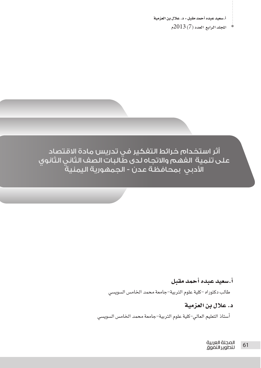$\blacktriangleright$  11 المجلد الرابع العدد (7) 2013م

أثر استخدام خرائط التفكير في تدريس مادة الاقتصاد على تنمية الفهم والاتجاه لدى طالبات الصف الثاني الثانوي ..<br>الأدبي بمحافظة عدن - الجمهورية اليمنية

#### أ.سعيد عبده أحمد مقبل

طالب دكتوراه –كلية علوم التربية–جامعة محمد الخامس السوي*سى* 

د. علال بن العزمية

أستاذ التعليم العالى–كلية علوم التربية–جامعة محمد الخامس السويسي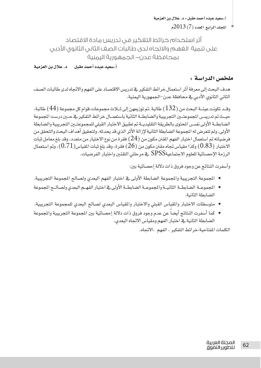اللحلد الرابع العدد (7) 2013م  $\sim$ 

أثر استخدام خرائط التفكير فى تدريس مادة الاقتصاد على تنمية الغهم والاتجاه لدى طالبات الصف الثاني الثانوي الأدبي يمحافظة عدن – الحمهورية اليمنية

د. علال بن العزمية أ.سعيد عبده أحمد مقبل

#### ملخص الدراسة :

هدف البحث إلى معرفة أثر استعمال خرائط التفكير في تدريس الاقتصاد على الفهم والاتجاه لدى طالبات الصف الثاني الثانوي الأدبي \_ محافظة عدن–الجمهورية اليمنية.

وقــد تكونت عينــة البحث من (132 ) طالبة ،تم توزيعهن إلى شـلاث مجموعات،قوام كل مجموعة (44 ) طالبة، حيث تم تدريسن المجموعتـــن التجريبية والضابطــة الثانية باستعمـــال خرائط التفكير \_فخ حـــن درست المجموعة الضابطــة الأولى نفسـن المحتوى بالطريقة التقليديــة تم تطبيق الاختبار القبلى للمجموعتــين التجريبية والضابطة الأولى، ولم تتعرض له المجموعة الضابطة الثانية لإزالة الأثر الذي قد يحدثه. ولتحقيق أهداف البحث والتحقق من فرضياته تم استعمال اختبار الفهم المقنن مكون من ( $24$ ) فقر ة من نوع الاختيار من متعدد، وقد بلغ معامل ثبات الاختبار ( $(0.83) وكذا مقياس تجاه مقنن مكون من (26) فقرة، وقد بلغ ثبات المقياس( $(0.71)$ )، وتم استعمال$ الرزمة الإحصائية للعلوم الاجتماعية $\mathrm{SPSS}$  في مرحلتي التقنين واختبار الفرضيات.

وأسفرت النتائج عن وجود فروق ذات دلالة إحصائية بين:

- الجموعة التجريبية والجموعة الضابطة الأولى في اختبار الفهم البعدى ولصالح الجموعة التجريبية.
- الجموعــة الضابطــة الثانيــة والمجموعــة الضابطــة الأولى في اختبار الفهــم البعدي ولصـالــح الجموعة الضابطة الثانية.
- متوسطات الاختبار والمقياس القبلي والاختبار والمقياس البعدي لصالح البعدي للمجموعة التجريبية.
- كما أسفرت النتائج أيضا عن عدم وجود فروق ذات دلالة إحصائية بين المجموعة التجريبية والمجموعة الضابطة الثانية في اختبار الفهم ومقياس الاتجاه البعدي.

الكلمات المقاحية:خرائط التفكير ، الفهم ،الاتجاه.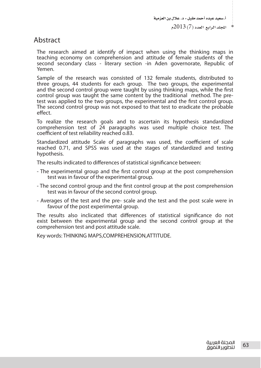## Abstract

The research aimed at identify of impact when using the thinking maps in teaching economy on comprehension and attitude of female students of the second secondary class - literary section -in Aden governorate, Republic of Yemen.

Sample of the research was consisted of 132 female students, distributed to three groups, 44 students for each group. The two groups, the experimental and the second control group were taught by using thinking maps, while the frst control group was taught the same content by the traditional method. The pretest was applied to the two groups, the experimental and the frst control group. The second control group was not exposed to that test to eradicate the probable effect.

To realize the research goals and to ascertain its hypothesis standardized comprehension test of 24 paragraphs was used multiple choice test. The coefficient of test reliability reached o.83.

Standardized attitude Scale of paragraphs was used, the coefficient of scale reached 0.71, and SPSS was used at the stages of standardized and testing hypothesis.

The results indicated to diferences of statistical signifcance between:

- The experimental group and the frst control group at the post comprehension test was in favour of the experimental group.
- The second control group and the frst control group at the post comprehension test was in favour of the second control group.
- Averages of the test and the pre- scale and the test and the post scale were in favour of the post experimental group.

The results also inclicated that diferences of statistical signifcance do not exist between the experimental group and the second control group at the comprehension test and post attitude scale.

Key words: THINKING MAPS,COMPREHENSION,ATTITUDE.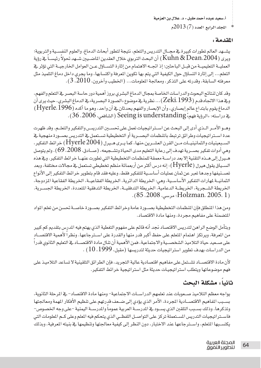$2013(7)$ المجلد الرابع العدد (7)

#### المقدمة :

يشــهد العالم تطورات كبيرة في مجــال التدريس والتعلم، نتيجة لتطور أبحاث الدماغ، والعلوم النفسـية والتربوية؛ ويرى (Kuhn & Dean،2004) أن البحث التربوي خلال العقدين الماضــيين شــهد تحولاً رئيســاً ـيخ رؤية العمليــة التعليميــة من قبــل الباحثين؛ إذ اتجــه الاهتمام من إثارة التســاؤل عــن العوامل الخارجيــة التي تؤثر فخ التعلم... إلى إثارة التساؤل حول الكيفية التي يتم بها تكوين المعرفة واكتسابها، وما يجرى داخل دماغ التلميذ مثل معرفته السابقة، وقدرته على التذكر، ومعالجة الملومات... (الخطيب وآخرون، 2010، 3).

وقد كان لنتائج البحوث والدراسات الخاصة بمجال الدماغ البشرى بروز أهمية دور حاسة البصرية التعلم والفهم، وي هذا الاتجاه قدم ( Zeki، 1993) … نظرية في موضوع «الصورة البصرية» في الدماغ البشري، حيث يرى أن الدماغ يقوم بابتداع عالم إبصاري، وأن الإبصار والفهم يحدثان في أن واحد، وهو ما أكده (Hyerle، 1996) يخ دراسته: «الرؤية فهم» Seeing is understanding (الشافعي، 2006، 36).

وهــو الأمــر الــذي أدى إلى البحث عن اســتر اتيجيات تعمل على تحســين التدريسـن والتفكير والتعلــم. وقد ظهرت عدة اسـتراتيجيات وطرائق ترتبط بالمظمات البصــرية أو التخطيطية تسـتعمل في التدريس بصــورة منهجية في السـبعينيات والثمانينيـات مــن القرن العشــرين،منها، كما يــري هــيرل (Hyerle 2004) خرائط التفكير، وهي أدوات تفكير بصــرية تهدف إلى رعاية التعليم مدى الحياة وتشــجيعه، (صــادق، 2008، 69). ولم يتوصل هـيرل إلى هـذه التقنية إلا بعد دراســة معمقة للمنظمات التخطيطية التي تطورت عنهـا خرائط التفكير. وفي هذه الســياق يقول هيرل (Hyerle) ؛ إنه درس أكثر من أربعمائة منظم تخطيطي تستعمل في مجالات مختلفة، وبعد تصــنيفها وجدها تعبر عن ثمان عمليات أساســية للتفكير فقط. وعليه فقد قام بتطوير خرائط التفكير إلى الأنواع الثمانيــة لهارات التفكير الأساسـية، وهي: الخريطة الدائرية، الخريطة الفقاعيــة، الخريطة الفقاعية المزدوجة، الخريطة الشــجرية، الخريطــة الدعامية، الخريطة التدفقيــة، الخريطة التدفقية المتعددة، الخريطة الجســرية. (Holzman، 2005، 1). {{جرسی، 2008، 85}.

ومن هذا المنطلق فإن المنظمات التخطيطية بصـورة عامة وخرائط التفكير بصـورة خاصـة تحسن من تعلم المواد المتضمنة على مفاهيم مجردة، ومنها مادة الاقتصاد.

وبتأمل الوضع الراهن لتدريس الافتصاد نجد أنه فائم على مفهوم التغطية الذي يهتم فيه الدرس بتقديم كم كبير من المرفة، ويرتكز اهتمام المتعلم على حفظ أكبر قدر منها والقدرة على اسـترجاعها. ونظراً لأهمية الاقتصــاد على صـعيد حياة التلاميذ الشخصـية والاجتماعية، فمن الأهمية أن تنال مادة الاقتصــاد في التعليم الثانوي قدرا من الدراسات بهدف تطوير استراتيجيات حديثة لتدريسها (مقبل، 1999، 10) .

لأن مادة الاقتصــاد تشــتمل على مفاهيم اقتصادية عالية التجريد، فإن الطرائق التلقينية لا تساعد التلاميذ على فهم موضوعاتها ويتطلب استراتيجيات حديثة مثل استراتيجية خرائط التفكير.

## ثانيا : مشكلة البحث

يواجه معظم التلاميذ صـعوبات عند تعلمهم الدراسـات الاجتماعية- ومنها مادة الافتصاد- في المرحلة الثانوية، بسـبب المفاهيم الاقتصـادية المجردة، الأمر الذي يؤدي إلى ضـعف قدرتهم على تنظيم الأفكار المهمة ومعالجتها وتذكرها. وذلك بسـبب التلقين الذي يسـود في المدرســة العربية عموما والمدرســة اليمنية –على وجه الخصوص– فاستراتيجيات التدريس المستعملة تركز على التواصل اللفظى الذى يتحكم فيه الملم وعلى كـم الملومات التي يكتسبها المتعلم، واسترجاعها عند الاختبار، دون النظر إلى كيفية معالجتها وتنظيمها في بنيته المرفية، وبذلك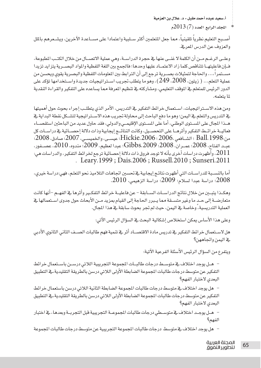اللجلد الرابع العدد (7) 2013م

أصبيح التعليم نظرياً تلقينياً، مما جعل التعلمين أكثر سبلبية واعتمادا على مسباعدة الآخرين، ويشبعرهم بالمل والعزوف عن الدرس المرية.

وعلـى الرغـم مـن أن الكلمة لا غنـى عنها في حجرة الدراسـة، وهي عملية الاتصــال من خلال الكتـب المطبوعة، فإن فاعليتهـا تتناقص كلما زاد الاعتمـاد عليها وحدها؛ فالجمع بين اللغة اللفظية والمواد البصـرية يتزايد تزيدا مســتمر اً،... والحـاجة لتمثيلات بصــرية ترجع إلى أن التر ابط ببن الملومات اللفظية والبصرية يقوى ويحسن من عملية التعلم... ( زيتون، 2008، 249)، وهو ما يتطلب تجريب اســتراتيجيات جديدة واســتخدامَها تؤكد على الدور الرئيس للمتعلم في الموقف التعليمي، ومشاركته في تنظيم المعرفة مما يساعده على التفكير والقراءة النقدية لما يتعلمه.

ومن هذه الاســتر اتبحيات، اســتعمال خر ائط التفكير ٬ التدريس، الأمر الذي يتطلـب احر اء يحوث حول أهميتها في التدريس والتعلم في اليمن؛ وهو ما دفع الباحث إلى محاولة تجريب هذه الاسـتر اتيجية لتشـكل نقطة البداية في هــذا المجال على المسـتوى الوطني، أما على المسـتوى الإقليمــى والدولي، فقد حاول عديد من الباحثين استقصــاء فعاليــة خرائــط التفكير وأثرهــا على التحصــيل، وكانت النتائــج إيجابية وذات دلالة إحصــائية فج دراســات كل من:Ball، 1998 ؛ الشــافعي ،2006 ؛ Hickie،2006 ؛ Hickie، عيســي، والخميســي، 2007؛ صادق، 2008؛ عبـد الفتاح، 2008؛ عمـران، 2008؛ Gibbs،2009؛ Gibbs، عبدا لعظيم، 2009؛ مندوه، 2010، عصـفور، وأظهرت دراسات أخرى بأنه لا توجد فروق ذات دلالة إحصائية ترجع لخرائط التفكير، والدراسات هي:  $2011\,$ . Leary. 1999; Dais. 2006; Russell. 2010; Sunseri. 2011

أما بالنسـبـة للدراســات التي أظهرت نتائـج إيجابية فے تحسين اتجاهات التلاميذ نحو التعلـم، فهي:دراسة خيري، 2008؛ دراسة عبدا لسلام؛ 2009؛ دراسة الزهيمي، 2010.

وهكـذا يتبــين من خلال نتائج الدراســات الســابقة – عن فاعليــة خرائط التفكـير وأثرها في الفهــم –أنها كانت متعارضــة إلى حــد ما وغير متســقة مما يــبرر الحاجة إلى القيام بمزيد مــن الأبحاث حول جدوى اســتعمالها في العملية التدريسية، وخاصة في اليمن، حيث لم تجر بحوث سابقة في هذا المجال.

وعلى هذا الأساس يمكن استخلاص إشكالية البحث في السؤال الرئيس الآتي:

هل لاسـتعمال خرائط التفكير في تدريس مادة الافتصــاد أثر في تنمية فهم طالبات الصــف الثانى الثانوي الأدبى <u>۾</u> اليمن واتجاههن؟

ويتفرع من السؤال الرئيس الأسئلة الفرعية الآتية:

- هـل يوجد اختلاف في متوسـط درجات طالبـات المجموعة التجريبية اللاتي درسـن باسـتعمال خرائط التفكير عن متوسط درجات طالبات الجموعة الضابطة الأولى اللاتي درسن بالطريقة التقليدية، في التطبيق البعدى لاختبار الفهم؟

– هل يوجد اختلاف في متوسط درجات طالبات المجموعة الضابطة الثانية اللاتي درسن باستعمال خرائط التفكير عن متوسط درجات طالبات المجموعة الضابطة الأولى اللاتي درسن بالطريقة التقليدية،ڤي التطبيق البعدى لاختبار الفهم؟

– هـل يوجـد اختلاف في متوسـطى درجات طالبات المجموعـة التجريبية قبل التجربـة وبعدها، في اختبار الفهم؟

- هل يوجد اختلاف في متوسط درجات طالبات الجموعة التجريبية عن متوسط درجات طالبات الجموعة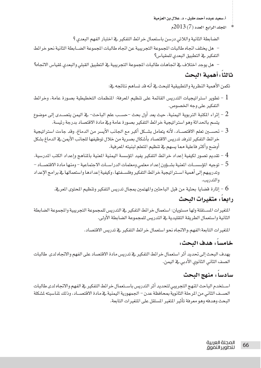الجلد الرابع العدد (7) 2013م

الضابطة الثانية واللاتي درسن باستعمال خرائط التفكير في اختبار الفهم البعدي ؟

– هل يختلف اتجاه طالبات الجموعة التجريبية عن اتجاه طالبات الجموعة الضــابطة الثانية نحو خرائط التفكير في التطبيق البعدي للمقياس؟

– هل بوجد اختلاف فـ اتحاهات طالبات المجموعة التجريبية فـ التطبيق القبلي والبعدي لمقياس الاتحاه؟

## ثالثاء أهمية البحث

تكمن الأهمية النظرية والتطبيقية للبحث يخ أنه قد تساهم نتائجه يخ:

- تطوير استراتيجيات التدريس القائمة على تنظيم المرفة: المنظمات التخطيطية بصورة عامة، وخرائط = = التفكير على وجه الخصوص.
- 2 إثراء المكتبة التربوية اليمنية، حيث يعد أول بحث –حسـب علم الباحث– في اليمن يتصــدى إلى موضوع \_ يتسم بالحداثة وهو استراتيجية خرائط التفكير بصورة عامة وفي مادة الاقتصاد بدرجة رئيسة.
- ح تحســين تعلم الاقتصـــاد، لأنه يتعامل بشــكل أكبر مع الجانب الأيسر من الدماغ، وقد جاءت استراتيجية 3 خرائط التفكير لترفد تدريس الافتصاد بأشكال بصرية من خلال توظيفها للجانب الأيمن في الدماغ بشكل أوضح وأكثر فاعلية مما يسهم في تنظيم المتعلم لبنيته المرهية.
- 
- 5 توجيه المؤسســات المنية بشــؤون إعداد معلمي ومعلمات الدراســات الاجتماعية ومنها مادة الافتصــاد وتدريبهم إلى أهمية اسـتراتيجية خرائط التفكير وفلسـفتها، وكيفية إعدادها واستعمالها في برامج الإعداد والتدريب.
	- اثارة قضايا بحثية من قبل الباحثين والمهتمين بمجال تدريس التفكير وتنظيم المحتوى المرية.  $6\,$

## رابعاً ، متغيرات البحث

المتفيرات المستقلة ولها مستويان: استعمال خرائط التفكير في التدريس للمجموعة التجريبية والجموعة الضابطة الثانية واستعمال الطريقة التقليدية في التدريس للمجموعة الضابطة الأولى.

المتغيرات التابعة:الفهم،والاتجاه نحو استعمال خرائط التفكير في تدريس الافتصاد.

## خامساً : هدف البحث:

يهدف البحث إلى تحديد أثر استعمال خرائط التفكير في تدريس مادة الافتصاد على الفهم والاتجاه لدى طالبات الصف الثاني الثانوي الأدبي في اليمن.

## سادساً ، منهج البحث

استخدم الباحث المهج التجريبي لتحديد أثر التدريس باستعمال خرائط التفكير في الفهم والاتجاه لدى طالبات الصــف الثاني من المرحلة الثانوية بمحافظة عدن – الجمهورية اليمنية في مادة الافتصــاد، وذلك لمناسبته لشكلة البحث وهدهه وهو معرهة تأثير المتغير المستقل على المتغيرات التابعة.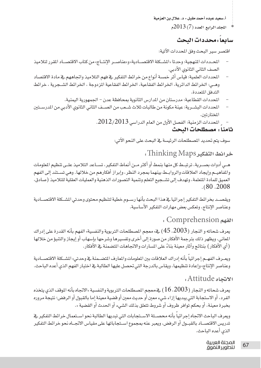$2013(7)$  المجلد الرابع العدد

#### سابعا : محددات البحث

افتصر سير البحث وفق المحددات الآتية:

- المحددات المنهجية: وحدتا «المشـكلة الاقتصـادية» و»عناصـر الإنتـاج» من كتاب الاقتصـاد المقرر لتلاميذ الصف الثاني الثانوي الأدبي.
- المحددات العلمية: فياس أثر خمسة أنواع من خرائط التفكير في فهم التلاميذ واتجاههم في مادة الاقتصاد وهـي: الخرائط الدائرية، الخرائط الفقاعية، الخرائط الفقاعية المزدوجة ، الخرائط الشـجرية ، خرائط التدفق المتعددة.
	- المحددات القطاعية: مدرستان من الدارس الثانوية بمحافظة عدن الجمهورية اليمنية.
- المحددات البشــرية: عينة مكونة من طالبات ثلاث شــعب من الصــف الثاني الثانوي الأدبي من المدرســتين المختارتين.
	- 11 الحددات الزمنية: الفصل الأول من العام الدراسي 2012/2013.

#### ثامنا : مصطلحات البحث

سوف يتم تحديد المصطلحات الرئيسة في البحث على النحو الآتي:

خرائط التفكير Thinking Maps:

هــى أدوات بصـــرية، ترتبــط كل منها بنمط أو أكثر مــن أنماط التفكير، تســاعد التلاميذ علــى تنظيم الملومات والمفاهيـم وإيجاد العلاقات والروابـط بينهما بمجرد النظر، وإبراز أفكارهم من خلالها. وهي تسـتند إلى الفهم العميق للمادة المتعلمة، وتهدف إلى تشــجيع التعلم وتنمية التصـورات الذهنية والعمليات العقلية للتلاميذ (صادق،  $. (80.2008)$ 

ويقصــد بخرائط التفكير إجرائيا يخ هذا البحث بأنها رســوم خطية لتنظيم محتوى وحدتى المشــكلة الاقتصــادية وعناصر الإنتاج، وتعكس بعض مهارات التفكير الأساسية.

، Comprehension ،

يعرف شحاته و النجار ( 2003، 45 ) \_في معجم المصطلحات التربوية والنفسية» الفهم بأنه القدرة على إدراك المعاني، ويظهر ذلك بترجمة الأفكار من صورة إلى أخرى وتفسيرها وشرحها بإسهاب أو إيجاز والتنبؤ من خلالها (أي الأفكار) بنتائج وآثار معينة بناءً على المسارات والاتجاهات المتضمنة في الأفكار.

وبعير ف الفهيم اجر ائيا بأنه ادراك العلاقات بين الملومات والمعارف المتضيمنة في وحدتي» المشيكلة الاقتصيادية وعناصر الإنتاج» وإعادة تنظيمها، ويقاس بالدرجة التي تحصل عليها الطالبة في اختبار الفهم الذي أعده الباحث.

**Attitude** 

يعرف شحاته و النجار (2003، 16) \_في معجم المصطلحات التربوية والنفسية «الاتجاه بأنه الموقف الذي يتخذه الفرد، أو الاستجابة التي يبديها إزاء شيء معين أو حديث معين أو قضية معينة إما بالقبول أو الرفض؛ نتيجة مروره بخبرة معينة، أو بحكم توافر ظروف أو شروط تتعلق بذلك الشيء أو الحدث أو القضية «.

ويعرف الباحث الانجاه إجرائياً بأنه محصـلة الاسـتجابات التي تبديها الطالبة نحو اسـتعمال خرائط التفكير فخ .<br>تدريس الاقتصــاد بالقبــول أو الرفض، ويعبر عنه بمجموع اســتجاباتها على مقياس الاتجــاه نحو خرائط التفكير الذي أعده الباحث.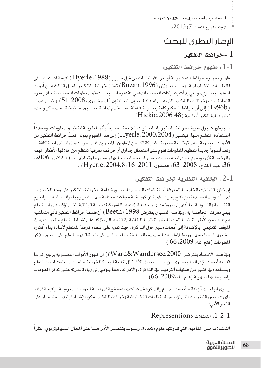$2013(7)$  المجلد الرابع العدد

# الإطار النظرى للبحث

## عزائط التفكير  $1\,$

، مفهوم خرائط التفكير  $1\text{-}1$ 

ظهـر مفهـوم خرائط التفكـير في أواخر الثمانينــات من قبل هـيرل (Hyerle ، 1988) نتيجة اشــتغاله على المنظمــات التخطيطيــة. وحســب بــوزان (Buzan، 1996) تمثــل خرائط التفكــير الجيل الثالث مــن أدوات التعلم البصـري، والتي بدأت بشـبكات العصف الذهني فخ فترة السـبعينات،ثم المنظمات التخطيطية خلال فترة الثمانينــات، وخرائــط التفكــير التي هــي امتداد للجيلين الســابقين ( لمياء خــيري، 2008، 51) .ويشــير هيرل ل 1996b) إلى أن خرائط التفكير كلغة بصـرية شاملة، تسـتخدم ثمانية تصاميم تخطيطية محددة كل واحدة  $(1996b)$ تمثل عملية تفكير أساسية (Hickie،2006،48).

شم يطور هــيرل تعريف خرائط التفكير ـفي الســنوات اللاحقة مضـيفاً بأنهــا طريقة لتنظيــم المعلومات، ومحدداً اسـتفادة المتعلــم منها: فيشــير (£2000،2004، Hyerle) إلى هذا المفهوم بقوله: تعــدّ خرائط التفكير من الأدوات البصرية، وهي تمثل لغة بصرية مشتركة لكل من الملمين والمتعلمين في المستويات والمواد الدراسية كافة... وتعد أسلوباً جديداً لتنظيم الملومات تقوم على استعمال جداول أو خرائط معرفية تنتظم من خلالها الأفكار المهمة والرئيســة لأي موضوع تتم دراسته، بحيث تيســر للمتعلم استرجاعها وتفسيرها وتحليلها،...( الشافعي، 2006، 36؛ عبد الفتاح، 2008، 63؛ عصفور، 2011، 16؛ Hyerle ،2004،8 ) .

. الخلفية النظرية لخرائط التفكير:  $2\text{-}1$ 

إن تطور التمثلات الخارجية للمعرفة أو المظمات البصـرية بصـورة عامة، وخرائط التفكير على وجه الخصوص لم يـأت وليد الصـدفة، بل نتاج بحوث علمية تراكميـة في مجالات مختلفة منها: البيولوجيا، واللسـانيات، والعلوم النفســية والتربويــة، ما أدى إلى بروز مدارس جديدة ـفـْ علم النفس كالمدرســة البنائية التــي تؤكد على أن المتعلم يبنى معرفته الخاصــة به، و\_فـهـذا الســياق يفترض Beeth (  $1998 ) أن فلسفة خرائط التفكير تأتى متماشية$ مع عديد من الأطر النظرية الحديثة مثل النظرية البنائية في التعلم التي تؤكد على نشــاط التعلم وتفعيل دوره في الموقف التعليمي، بالإضافة إلى أبحاث مللير حول الذاكرة، حيث تقوم على إعطاء فرصة للمتعلم لإعادة بناء أفكاره وتقييمها ومراجعتها. وربط الملومات الجديدة بالسـابقة مما يسـاعد على تنمية قـدرة المتعلم على التعلم وتذكر الملومات (فتح الله، 2009، 66 ).

وية هـذا الاتجــاه يفترضن Ward&Wandersee،2000) ) أن ظهور الأدوات البصــرية يرجع إلى ما قدمته أبحاث الإدراك البصــري من أن اســتعمال الأشــكال ثنائية البعد كالخرائط والجــداول يلفت انتباه المتعلم ويسـاعده في كثـير من عمليات الترميـز في الذاكرة، والإدراك، مما يـؤدي إلى زيادة قدرته علـى تذكر الملومات واسترجاعها بسهولة (فتح الله،2009، 66).

ويــرى البـاحــث أن نتائج أبحاث الدماغ والذاكرة قد شــكلت دفعة قوية لدراســة العمليات المرفيــة، ونتيجة لذلك ظهرت بعض النظريات التي تؤسس للمنظمات التخطيطية وخرائط التفكير يمكن الإشـارة إليها باختصـار على النحو الآتي:

1-2-1: التمثلات Representions

التمثــلات مــن المفاهيم التي تناولتها علوم متعددة، وســوف يقتصــر الأمر هنــا على المجال السـيكوتربوي، نظراً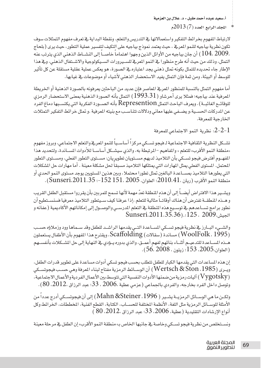$2013(7)$  المجلد الرابع العدد

لارتباط الفهوم بخرائط التفكير واستعمالاتها فج التدريس والتعلم. ونقطة البداية في تعرف مفهوم التمثلات سوف تكون نظرية بياجيه للنمو المرئے ، حيث يعتمد نموذج بياجيه على التكيف لتفسير عملية التطور، حيث يرى ( بلحاج ،2009 ،104 ) أن جان بياجيه من الأوائل الذين وجهوا اهتماماً خاصــاً إلى النشــاط الذهني الذي يترتب عنه التمثل، وذلك من حيث أنه طرح منظورا في النمو المرفح للسـيرورات السـيكولوجية والاشـتغال الذهني، وفي هذا الإطار جاء تحديده للتمثل بكونه تمثل ذهنى يجد اعتباره فے الصورة، هو يعكس عملية عقلية مستقلة عن كل تأثير للوسط أو البيئة، ومن ثمة فإن التمثل يفيد الاستحضار الذهني لأشياء أو موضوعات في غيابها.

أما مفهوم التمثل بالنسبة للمنظور العريۓ العاصر فإن عديد من الباحثين يعرفونه بالصورة الذهنية أو الخريطة المرهية عند بياجيه؛ همثلا يرى أحرشاو ( 1993،31 ) التمثل بأنه الصورة الذهنية بمعنى الاستحضار الرمزي للوقائــع الغائبــة) . ويعرف الباحث التمثل Represention بأنه الصــورة الفكرية التي يكتسـبها دماغ الفرد عن المدركات الحسـية،ويضـفي عليها معاني ودلالات تتناسـب مع بنيته المعرفية .وتمثل خرائط التفكير التمثلات الخارحية للمعرفة.

: نظرية النمو الاجتماعي للمعرفة  $2\hbox{-}2\hbox{-}1$ 

تشـكل النظرية الثقافية الاجتماعية لـ فيجو تسـكي مركزاً أساسـياً للنمو المرية والتعلم الاجتماعي، وبروز مفهوم «منطقة النمو الأقرب» للتعلم « والمفاهيم -المرتبطة به، والذي سيشـكل أساسـا للأدوات المسـاندة، ولتحديد هذا المفهـوم أفترض فيجو تسـكي بأن التلاميذ لديهم مسـتويان تطويريان: مسـتوى التطور الفعلي، ومسـتوى التطور المحتمل. المستوى الفعلى يمثل المهارات التي يمتلكها التلاميذ مسبقاً لحل مشكلة معينة . أما مهارات حل المشكلات التي يطورها التلاميذ بمســـاعدة البالغين تمثل تطورا محتملا ، وبين هذين المستويين يوجد مستوى النمو الحدي أو منطقة النمو الأقرب (ريان ،2010،41؛ العلوان، 2005 ،151 I52 -152-؛ Sunseri،2011،35) .

ويشــير هذا الافتراض أيضــاً إلى أن هذه المطقة تعدّ مهمة لأنها تسمح للمربين بأن يقرروا مستقبل الطفل القريب و هــذه المُطقــة تفترض أن هناك أوقاتــا مثالية للتعلم ،إذا عرفنا كيف سـيتطور التلاميذ معرفيا فسنسـتطيع أن نطور برامج تســاعدهم في توســيع هذه الملطقة في التعلم المدرســي والوصــول إلى إمكاناتهم الأكاديمية (عفانه و Sunseri.2011.35.36).:125. 2009

والشيء البارز في نظرية فيجو تسكي المساعدة التي يقدمها الراشد للطفل وقد سهاها وود وزملاؤه حسب (WoolFolk ، 1995) مساندة (سقالات) Scaffolding، ويقترح هذا المفهوم بأن الأطفال يستعملون هــذه المســاعدة للتدعيــم أثنــاء بنـائهم لفهم أعمــق، والذي بدوره يــؤدي في النهاية إلى حل المشــكلات بأنفســهم (العلوان،2005، 153؛ زيتون، 2008، 56).

إن هذه المساعدات التي يقدمها الكبار للطفل تتطلب بحسب فيجو تسكي أدوات مساعدة على تطوير قدرات الطفل، ويـري (Wertsch & Ston ، 1985) أن الوسـائط الرمزية مفتاح لبناء المرفة وهي حسـب فيجوتسـكي (Vygotsky) آليات رمزية من ضمنها الأدوات النفسية التي تتوسط بين الأعمال الفردية والأعمال الاجتماعية، وتوصل داخل الفرد بخارجه، والفردي بالجماعي (عزمي عطية ،2006 ، 33؛ عبد الرزاق ،2012، 80).

ولكــن ما هي الوســائل الرمزيــة يشــير ( Mahn &Steiner ، 1996) إلى أن فيجوتســكي أدرج عدداً من الأمثلة للوســائل الرمزية مثل اللغة، الأنظمة المختلفة للحســاب، الكتابة، القطع الفنية، المخططات، الخرائط وكل  $(80.2012.$  أنواع الإرشادات التقليدية (عطية، 2006، 33؛ عبد الرزاق ،2012،  $80$ 

ونسـتخلص من نظرية فيجو ت*ســكي و*خاصة في جانبها الخاص بـ» منطقة النمو الأقرب» إن الطفل في مرحلة معينة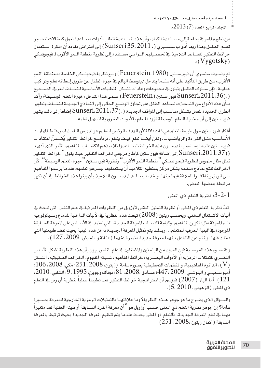$2013(7)$  المحلد الرابع العدد ( 7 )

من تطوره المعرفے بحاجة إلى مســاعدة الكيار، وأن هذه المســاعدة تتطلب أدوات مســاعدة تعمل كسقالات لتحسير تعلــم الطفــل وهذا ريما أدى ب سنســيري ( ، Sunseri 35 ،2011 ) إلى افتر اض مفاده أن «فكر ة اســتعمال خرائط التفكير لتســاعد التلاميذ في تحصــيلهم الدراسى مســتندة إلى نظرية منطقة النمو الأقرب لـ فيجوتسكى  $\mathcal{N}(Vygotsky)$ 

ثم يضــيف سنسرى أن فيور ســتـن ( Feuerstein، 1980 ) وسـع نظرية فيجوتسكي الخاصة بـ» منطقة النمو الأُقرب» عن طريق التأكيد على أنه عندما يتدخل /يتوسط البالغ في خبرة الطفل عن طريق إعطائه تعلم وتراكيب عمليــة، فإن ســلوك الطفــل يتبلور ــِـقـمجموعات وعادات تشــكل المتطلبات الأساســية للنشــاط المرــِقـ الصــحيح فيورســتين (Feuerstein) ســمي هذا التدخل «خبرة التعلم الوســيطة» وأكد (Feuerstein) بـأن هذه الأنواع من التدخلات تســاعد الطفل على تجاوز الوضــع الحالي إلى النماذج الجديدة للنشــاط وتطوير الطرق الجديدة للعمل بشــكل مناسـب إلى المواقف الجديدة ( .( Sunseri،2011،37 إضافة إلى ذلك يشير فيور ستين إلى أن « خبرة التعلم الوسيطة تزود المتعلم بالأدوات الضرورية لت*سه*يل تعلمه.

أفكار فيور ستين حول طبيعة التعلم هي ذات دلالة لأن الهدف الرئيس للتعليم هو تدريس التلميذ ليس فقط المهارات الأساســية مثــل القراءة والرياضــيات، ولكن أيضــاً تعلم كيــف يتعلم. برنامــج خرائط التفكير يُضــمنّ اعتقادات فيورســتن عندما يســتعمل الدرســون هذه الخر ائط ليســاعدوا تلاميذهم لاكتســاب المفاهيم، الأمر الذي أدى بـ (Sunseri،2011،37 إلى إضافة فيور ستين كإطار مرجعي لخرائط التفكير حيث يقول " خرائط التفكير<br>تمثل مثال ملموس لنظرية فيجو تســكي "منطقة النمو الأقرب" ونظرية فيورســتين "خبرة التعلم الوسيطة". لأن الخرائط تنتج نماذج منظمة بشكل مركز يستطيع التلاميذ أن يستعملوها ليسرعوا تعلمهم عندما يرسموا الفاهيم على الورق وينافشــوا العلاقة فيما بينها، وعندما يســاعد المدرســون التلاميذ بأن يبنوا هذه الخرائط في أن تكون مرتبطة ببعضها البعض.

نظرية التعلم ذي المعنى: $3-2-1$ 

تعدّ نظرية التعلم ذي المنى أو نظرية التمثيل العقلي لأوزوبل من النظريات المرهية في علم النفس التي تبحث في آليات الاشــتغال الذهني، وبحسـب زيتون ( 2008) تبحث هذه النظرية في الآليات الداخلية للدماغ وســيكولوجية بناء المرفة مثل: تكوين المفاهيم، وكيفية اكتســاب المرفة الجديدة، التي تعتمد في الأســاس على المرفة الســابقة الموجودة في البنية المرهية للمتعلم... وبذلك يتم تمثيل المرهة الجديدة داخل هذه البنية بحيث تفقد طبيعتها التي دخلت فيها، وينتج عن التفاعل بينهما معرفة جديدة متميزة عنهما (عفانة و الجيش ،2009، 127).

وية ضــوءِ هذه الفرضـيـة فإن العديد من البـاحثين والمشتغلين ــِة علم النفس يرون بأن هذه النظرية تشكل الأساس النظـري للتمثلات الرمزية أو الأدوات البصـرية: خرائط المفاهيم، شـبكة المفهوم، الخرائط العنكبوتية، الشـكل الدائرة المفلميمية، والمنظمات التخطيطية بصورة عامة (زيتون، 2008، 251؛ مكي، 2008، 106؛  $106$ . أمبوسـعيدي و البلوشـي، 2009 ،447؛ صــادق ،2008، 81؛ نوفاك وجوين، 1995، 9؛ الشلبي، 2010، اً أما الباز ( $2007$ ) فيزعم أن استراتيجية خرائط التفكير تعد تطبيقا عمليا لنظرية أوزوبل في التعلم . $\left(121\right)$ ذي المعنى (الزهيمي، 5، 2010).

والسؤال الذى يطـرح ما هو جوهر هـذه النظرية؟ وما علاقتهـا بالتمثيلات الرمزية الخارجية للمعرفة بصـورة عامة؟ إن جوهر نظرية التعلم ذي المني حسب أوزوبل هو ''أن معرفة الفرد الســابقة أو بنيته العقلية تعد متغيراً ۖ مهما في تعلم المرفة الجديدة، فالتعلم ذو المنى يحدث عندما يتم تنظيم المرفة الجديدة بحيث ترتبط بالمرفة السابقة ( كمال زيتون ،2008، 251).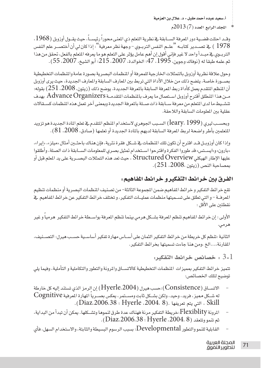$2013(7)$  المجلد الرابع العدد

وقـد احتلت قضـية دور المعرفة السـابقة فج نظرية التعلم ذي المغي محوراً رئيسـاً، حيث يقـول أوزوبل (1968، 1978 ) ـ في تصــدير كتابـه "علــم النفس التربــوي - وجهة نظر معرفية" : إذا كان لي أن أختصــر علم النفس التربـوي في مبـدأ واحد لا غير فإني أفول إن أهم عامل يؤثر على التعلم هو ما يعرفه المتعلم بالفعل، تحقق من هذا ثم علمه طبقا له (نوفاك وجوين، 1995، 47؛ الخوالدة، 2007، 215؛ أبو الشيخ، 2007، 55).

وجول علاقة نظرية أوزويل بالتمثلات الخارجية للمعرفة أو المنظمات البصرية بصورة عامة والمنظمات التخطيطية بصــورة خاصة، يتضح ذلك من خلال الأداة التي تربط بين المعارف السابقة والمعارف الجديدة، حيث يرى أوزوبل أن المنظم المتقدم يعمل كأداة ربط المرفة السابقة بالمرفة الجديدة. يوضح ذلك (زيتون، 2008، 251) بقوله: مـن هذا المنطلق أفترح أوزوبل اسـتعمال ما يعرف بالمنظمات المتقدمـة Advance Organizers بهدف تنشييط ما لدى المتعلم من معرفة سابقة ذات صلة بالمعرفة الجديدة وبمعنى آخر تعمل هذه المظمات كسةالات عقلية ببن الملومات السابقة واللاحقة.

وبحسـب ليري (1999 leary، 1999) السـبب الجوهري لاستخدام المنظم المتقدم في تعلم المادة الجديدة هو تزويد المتعلمين بأطر واضحة لربط المرفة السابقة لديهم بالمادة الجديدة أو تعلمها (صادق، 2008، 81).

واذا كان أوزوبيل قبير اقترح أن تكون تلك المُظهات فے شبكل فقر ة نثرية، فان هناك باحث بن أمثال «مبلز»، «إبرا»، «بارون» و»ايسـتس» قد طوروا الفكرة واقترحوا اسـتخدام تمثيل بصرى للمعلومات السـابقة ذات الصلة، وأطلقوا عليها الإطار الهيكلي Structured Overview ، حيث تعد هذه التمثلات البصــرية على يد المعلم قبل أو بمصاحبة النص (زيتون ،2008، 251).

#### الفرق بين خرائط التفكير و خرائط المفاهيم:

تقع خرائط التفكير و خرائط المفاهيم ضمن المجموعة الثالثة- من تصنيف المظمات البصرية أو منظمات تنظيم المعرفة - والتي تطلق على تسميتها منظمات عمليات التفكير، وتختلف خرائط التفكير عن خرائط المفاهيم في نقطتين على الأفل :

الأولى : إن خرائط الماهيم تنظم المرفة بشـكل هرمي بينما تنظم المرفة بواسـطة خرائط التفكير هرمياً و غير هرمي.

الثانية :تنظم كل خريطة من خرائط التفكير الثمان على أســاس مهارة تفكير أساســية حســب هيرل: التصــنيف، المقارنة....الخ ،ومن هنا جاءت تسميتها بخرائط التفكير.

. خصائص خرائط التفكير:  $3\text{-}1$ 

تتميز خرائط التفكير بمميزات المنظمات التخطيطية كالاتســاق والمرونة والتطور والتكاملية و التأملية، وفيما يلى توضيح لتلك الخصائص:

- الاتســاق (Consistence):حسب هيرل (Hyerle،2004) إن الرمز الذي تستند إليه كل خارطة له شــكل مميز ، فريد، وحيد، ولكن بشــكل ثابت ومســتمر، يعكس بصــرياً المهارة المعرفية Cognitive . (Diaz.2006.38 ؛ Hyerle .2004. 8). (Diaz.2006.38 ؛ Hyerle .
- المرونة Flexiblity:خريطة التفكير مرنة فهناك عدة طرق لنموها وتشــكلها. يمكن أن تبدأ من البداية، ثم تنمووتتعقد (Diaz.2006.38: Hyerle .2004. 8).
- القابلية للنمو والتطور Developmental: بسبب الرسوم البسيطة والثابتة، والاستخدام السهل، فأي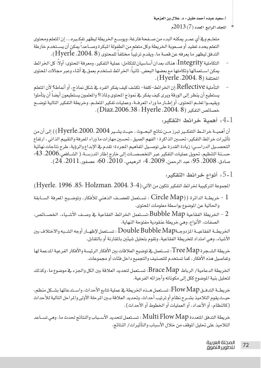#### المجلد الرابع العدد (7) 2013م

متعلــم و\_فــْ أي عمــر يمكنه البدء من صــفحة فارغة، ويوســع الخريطة ليظهر تفكــيره... إن المتعلم ومحتوى التعلم يحدد تعقيد أو صـعوبة الخريطة،وكل متعلم من الطفولة المبكرة وصـاعداً يمكن أن يسـتخدم خارطة التدفق ليظهر ما يعرفه عن قصة ما، ويقدم ترتيباً مختلفاً للمحتوى (Hyerle ،2004، 8).

- التكاملية Integrity: هناك بعدان أساسيان للتكامل: عملية التفكير، ومعرفة المحتوى: أولاً: كل الخرائط يمكن اسـتعمالها وتكاملها مع بعضها البعض. ثانياً: الخرائط تستخدم بعمق في أثناء وعبر مجالات المحتوى المختلفة (Hyerle ،2004، 8) .
- التأملية Reflective: إن الخرائط-كلغة- تكشف كيف يفكر الفرد في شكل نماذج، أو أنماط؟ لأن المعلم يستطيع أن ينظر إلى الورقة ويرى كيف يفكر في نموذج المحتوى ولماذا؟ والمعلمون يستطيعون أيضاً أن يتأملوا ويقيمـوا تعلـم المحتوى، أو إطـار ما وراء المرفـة، وعمليات تفكير المتعلـم. وخريطة التفكير التالية توضـح خصائص التفكير (Diaz،2006،38 : Hyerle ،2004، 8).

4-1. أهمية خرائط التفكير:

أن أهميــة خرائــط التفكــير تبرز مــن نتائج البحــوث ، حيــث يشــير Hyerle،2000، 2004) ) إلى أن من تأثيرات خرائط التفكير: تحسين الذاكرة ؛ الفهم العميق ، تحسين مهارات ما وراء المرفة والتقييم الذاتي ، ارتفاع التحصـيل الدراسـي؛ زيادة القدرة على توصـيل المفاهيم المجردة؛ تقدم في الإبداع والرؤية، طرح نتاجات نهائية حســنة التنظيم، تحويل عمليات التفكير عبر التخصصــات إلى خارج إطار المدرســة. ( الشــافعي،2006، 43؛ صادق، 2008، 95؛ عبد الرحمن، 2009، 4؛ الرهيمي، 2010، 60؛ عصفور،2011، 24).

ا ـ 5 . أنواع خرائط التفكير.  $1\,$ 

الجموعة التركيبية لخرائط التفكير تتكون من الآتي: (Hyerle. 1996 ،85: Holzman. 2004. 3-4)

- ا خريطــة الدائرة (( Circle Map : تســتعمل للعصــف الذهني للأفكار، وتوضــيح المعرفة الســابقة  $\,$  . والحالية عن الموضوع بواسطة معلومات المحتوى.
- نستعمل الخرائط الفقاعية Bubble Map:تستعمل الخرائط الفقاعية في وصـف الأشـياء، الخصــائص،  $\geq 2$ الصفات، الأنواع، وهي خريطة عنقودية مفتوحة النهاية.

الخريطــة الفقاعيــة المزدوجـةDouble Bubble Map : تســتعمل لإظهــار أوجه الشــبه والاختلاف بين الأشياء، وهي امتداد للخريطة الفقاعية، وتقوم بتحليل شيئَين بالمقارنة أو بالتقابل.

خريطة الشــجرة Tree Map: تســتعمل \_2 توضيح العلاقات بـن الأفكار الرئيسة والأفكار الفرعية المـعمة لها وتفاصيل هذه الأفكار، كما تستخدم للتصنيف والتجميع داخل فئات أو مجموعات.

الخريطة الدعامية/ الرباط Brace Map: تسـتعمل لتحديد العلاقة بين الكل والجزء في موضوع ما، وكذلك لتحليل بنية الموضوع ككل إلى مكوناته وأجزائه الفرعية.

خريطــة التدفــق Flow Map: تســتعمل هــذه الخريطة في عملية تتابع الأحداث، واســتدعائها بشــكل منظم، حيـث يقوم التلاميذ بشـرح نظام أو ترتيب أحداث، وتحديد العلاقة بـين المرحلة الأولى والمراحل التالية للأحداث (كالنظام، أو الأعداد، أو العمليات أو الخطوط أو الأحداث) .

خريطة التدفق المتعددة Multi Flow Map : تســتعمل لتحديد الأســباب والنتائج لحدث ما، وهي تســاعد التلاميذ على تحليل الموقف من خلال الأسباب والتأثيرات/ النتائج.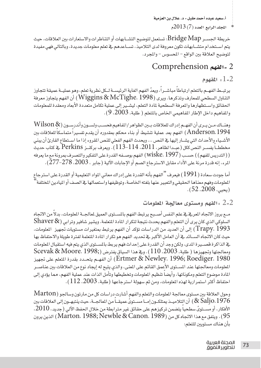$2013(7)$ المجلد الرابع العدد (7)

خريطة الجســر Bridge Map: تستعمل لتوضيح التشــابهات أو التناظرات والاستعارات بين العلاقات، حيث يتم استخدام متشـابهات تكون معروفة لدى التلاميذ، تسـاعدهم في تعلم معلومات جديدة، وبالتالي فهي مفيدة لتوضيح العلاقة بين الواقع – المحسوس – والمجرد.

# 2- الفهم Comprehension

 $1 - 2$ 

يرتبــط الفهــم بالتعلم ارتباطاً مباشــراً ، ويعدّ الفهم الغاية الرئيســة لــكل نظرية تعلم، وهو عمليــة عميقة تتجاوز التناول السطحي للمعارف وتذكرها. ويرى (Wiggins & McTighe،  $1998$ ) أن الفهم يتجاوز معرفة الحقائق واستظهارها والمرفة السطحية لمادة التعلم، ليشـير إلى عملية تكامل متعددة الأبعاد ومعقدة للمعلومات والمفاهيم داخل الإطار المفاهيمي الخاص بالمتعلم ( طلبة، 2003، 9).

وهنساك مسن يسرى أن الفهسم إدراك للعلاقات بسين الظواهر/المفاهيم فحسسب ولسسون وأندرسسون (Wilson & Anderson، 1994) الفهم يعد عملية تنشيط أو بناء محكم بمقدوره أن يقدم تفسيراً متماسكا للعلاقات بين الأشـياء والأحداث التي يشــار إليها يخ النص ... ويحدث الفهم الفعلي للنص المقروء إذا ما اسـتطاع القارئ أن يبني مخططــاً يفســر النص2كل (عبــدا لظاهر، 2011، 114-113) . ويعرف بركنــز Perkins ــِجْ كتاب حديث ( ( التدريس للفهم ) ) حسـب ( wiske،  $1997 ) الفهم بوصــفه القدرة على التفكير والتصـرف بمرونة مع ما يعرفه$ المرء، إنه قدرة مرنة على الأداء مقابل الاسترجاع الصم أو الإجابات الآلية (جابر ، 2003، 278-277).

أما جودت سعادة ( 1991 ) فيعرف "الفهم بأنه القدرة على إدراك معاني المواد التعليمية أو القدرة على استرجاع الملومات وفهم معناها الحقيقى والتعبير عنها بلغته الخاصة، وتوظيفها واستعمالها في الصف أو المادين الختلفة `  $(52.2008, \mu)$ 

الفهم ومستوى معالجة الملومات  $2\text{-}2$ 

مـع بروز الاتجاه المريخ في علم النفس أصـبح يرتبط الفهم بالمسـتوى العميق لمالجـة الملومات، بدلاً من الاتجاه السلوكي الذي كان يرى أن التعلم والفهم يحدث نتيجة لتكرار المادة المتعلمة. ويشير شافير وترابي (Shaver & Trapy، 1993) إلى أن العديد من الدراسات تؤكد أن الفهم يرتبط بمتغيرات مستويات تجهيز الملومات، حيث كان الاتجاه الســـائد فے أن العامل الأكبر في تحديد الفهم هو تكر ار المادة التعلمة لفتر ة طويلة والاحتفاظ بها يخ الذاكرة قصـيرة المدى، ولكن وجد أن القدرة على إحداث فهم يربط بالمسـتوى الذي يتم فيه استقبال الملومات ومعالجتها وتجهيزها ( طلبة، 2003، 110). وفي هذا السياق يفترض (;Scevak & Moore، 1998 Ertmer & Newley، 1996; Roediger، 1980) أن الفهـم يتحـدد بقدرة المتعلم على تجهيز الملومات ومعالجتها عند المسـتوى الأعمق القائم على المنى، والذى يتيح له إيجاد نوع من العلاقات بين عناصــر المادة موضوع التعلم ومكوناتها، وأيضاً تنظيم المعلومات وتخطيطها وتأمل الذات عند عملية الفهم، مما يؤدى إلى احتفاظ أكثر استمرارية لهذه الملومات، ومن ثم سهولة استرجاعها (طلبة، 2003، 112).

وحول العلاقة بين مستوى معالجة الملومات والتعلم والفهم أشارت دراسات كل من مارتون وسالجو (Marton & Saljo، 1976) أن التلاميــذ يمتلكــون إمــا مســتويِّ عميقــاً من المالجــة، حيث ينتبهــون إلى العلاقات بين الأفكار، أو مســتوىَّ سطحياً يتضمن تركيزهم على حقائق غير مترابطة من خلال الحفظ الآلى (جديد، 2010، 95). ويتفق مع هذا الاتجاه كل من (Marton، 1988; Newble & Canon، 1989) الذين يرون بأن هناك مستويبن للتعلم: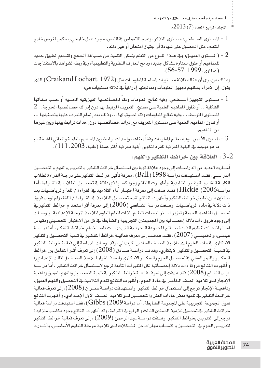المحلد الرابع العدد (7) 2013م

- الســـتوى الســطحي: مســتوى التذكر ، وعدم الانغمـاس في النـص. مجرد عمل خارجي يستكمل لغرض خارج المسطحي التذريح ا المتعلم، مثل الحصول على شهادة أو اجتياز امتحان أو غير ذلك.
- الســـتوى العميــق: وقي هـــذا النـــوع من التعلم يتمكن التلميذ من صــيـاغة الحجج وتقــديم تطبيق جديد  $2\,$ للمفاهيم أو حلول ممتازة لشاكل جديدة ودمج المارف النظرية والتطبيقية، وفي ربط الشواهد بالاستنتاجات (عطاوي، 1999، 57-56).

وهناك من يرى أن هناك ثلاثة مسـتويات لمالجة الملومــات مثل (Craikand Lochart، 1972) الذي يقول: إن الأفراد يمكنهم تجهيز المعلومات ومعالجتها إدراكياً في ثلاثة مستويات هي:

- الشكلية... أو تناول المفاهيم العلمية على مستوى التعريف المرتبط بها دون إدراك خصائصها الحرجة. -2 المستوى المتوسط ... وفيه تعالج الملومات وفقاً لصوتياتها ... وذلك بعد إتمام التعرف عليها وتصنيفها ... أو تناول المفاهيم العلمية على مستوى التعريف مع إدراك خصائصها دون إحداث ترابط بينها وبين غيرها من المفاهيم.
- 3 المستوى الأعمق ، وهيه تعالج الملومات وفقاً لمناها، وإحداث ترابط بين المفاهيم العلمية والمعاني المشتقة مع ما هو موجود ـ في البنية المرهية للفرد لتكوين أبنية معرهية أكثر عمقاً (طلبة، 2003، 111).
	- . [13] 3- ألعلاقة بين خرائط التفكير والفهو:

أشــارت العديد من الدراســات إلى وجود علاقة قوية بين اســتعمال خرائط التفكير بالتدريس والفهم والتحصــيل الدر اســي. فقــد اســتهدفت در اســة 1998) [Ball )، معرفة تأثير خرائــط التفكير على درجــة القراءة لطلاب الكليــة التقليديــة وغــير التقليدية، وأظهــرت النتائج وجود كســبا ذي دلالة في تحصــيل الطلاب في القــراءة. أما دراســة2006) Hickie ) فقــد هدفت إلى معرفة اختبــار أداء التلاميذ في القراءة /اللغة والرياضــيات بعد سـنتين مـن تطبيق خرائط التفكير وأظهرت النتائج تقدم تحصـيل التلاميذ في القــراءة / اللغة، ولم توجد فروق ذات دلالة في مادة الرياضـيات. وهدفت دراسة الشــافعي ( 2006) إلى معرفة أثر استخدام خرائط التفكير في تحصـيل الفاهيم العلمية وتعزيز اسـتراتيجيات تنظيم الذات لتعلم العلوم لتلاميذ المرحلة الإعدادية، وتوصـلت إلى وجود فروق ذات دلالة إحصــائية بين المجموعتين التجريبية والضابطة في كل من الاختبار التحصيلي ومقياس استراتيجيات تنظيم الذات لصـالح الجموعة التجريبية التي درسـت باسـتخدام خرائط التفكير. أما دراسـة عيســي، والخميســي ( 2007 ) ، فقــد هدفــت إلى معرفة فعاليــة خرائط التفكــير \_في تنمية التحصــيل والتفكير الابتكارى في مادة العلوم لدى تلاميذ الصــف السادس الابتدائي، وقد توصلت الدراسة إلى فعالية خرائط التفكير يخ نتميــة التحصــيل والتفكير الابتكاري. وهدفت دراســة صــادق ( 2008) إلى تعرف أثــر التفاعل بين خرائط التفكير والنمو العقلي في تحصـيل العلوم والتفكـير الابتكاري واتخاذ القرار لتلاميذ الصـف ( الثالث الإعدادي) و أظهرت النتائج فروقا ذات دلالة إحصــائية لكل المتغيرات التابعة ترجع لاسـتعمال خرائط التفكير .أما دراســة عبــد الفتــاح ( 2008) فقد هدفت إلى تعرف فاعلية خرائط التفكير في تنمية التحصــيل والفهم العميق ودافعية الإنجاز لدى تلاميذ الصف الخامس في مادة العلوم، وأظهرت النتائج تقدم التلاميذ في التحصيل والفهم العميق، ودافعيــة الإنجاز ترجع إلى اسـتعمال خرائط التفكير. واسـتهدفت دراســة عمــران (2008) ، إلى تعرف فعالية خرائــط التفكير في تنمية بعض عادات العقل والتحصــيل لدى تلاميذ الصــف الأول الإعــدادي، و أظهرت النتائج تقوق الجموعة التجريبية على الجموعة الضابطة. أما دراسة Gibbs (2009) ، فقد استهدفت دراسة فعالية خرائط التفكير في تحصيل تلاميذ الصفين الثالث و الرابع في القراءة، وقد أظهرت النتائج وجود مكاسب متزايدة ترجع إلى التدريس بخرائط التفكير. وهدفت دراســة عبد الرحمن (2009) ، إلى تعرف فعالية خرائط التفكير لتدريسي العلوم يخ التحصـيل واكتســاب مهارات حل المشــكلات لدى تلاميذ مرحلة التعليم الأساســي، وأشــارت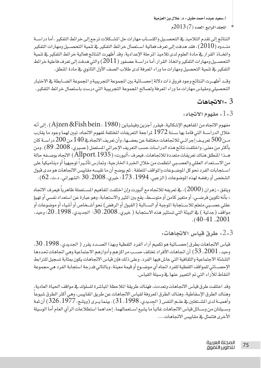$2013(7)$ المجلد الرابع العدد (7)

النتائج إلى تقدم التلاميذ في التحصـيل واكتســاب مهارات حل المشــكلات ترجع إلى خرائط التفكير .أما دراســة منــدوه ( 2010 ) ، فقد هدفت إلى تعرف فعالية اســتعمال خر ائط التفكير \_في تنمية التحصــيل ومهارات التفكير واتخــاذ القرار في مادة العلوم لدى تلاميذ المرحلة الإعدادية، وقد أظهرت النتائج فعالية خرائط التفكير في تنمية التحصــيلeمهارات التفكير واتخاذ القرار.أما دراســة عصفور ( 2011) والتي هدفت إلى تعرف فاعلية خرائط التفكير ﴾ تنمية التحصيل ومهارات ما وراء المعرفة لدى طلاب الصف الأول الثانوي ﴾ مادة المنطق.

وقـد أظهــرت النتائج وجود فروق ذات دلالة إحصــائية بين الجموعة التجريبية و الجموعة الضــابطة فے الاختبار التحصيلي ومقياس مهارات ما وراء المرفة ولصالح المجموعة التجريبية التي درست باستعمال خرائط التفكير.

## $3 - 3$ تجاهات

 $\cdot$  ، مفهوم الاتجاه  $1$  .

مفهوم الاتجاه من المفاهيم الإشكالية، فيقرر أجزين وفيشباين (Ajzen &Fish bein ، 1980) ، إلى أنه خلال الدراســة التي قاما بها ســنة 1972 لمراجعة التعريفات المختلفة لمفهوم الاتجاه، تبين لهما وجود ما يقارب مـن 500 تعريـف إجرائـي للاتجاهات مختلفة عن بعضـها، وأن تعريف الاتجاهـڤ 140 من 200 دراســة كان بأكثر من معنى، واختلفت نتائج هذه الدراسات حسب التعريف الإجرائي المستعمل (عسيري، 2008، 89). ومن هــذا المنطلق هناك تعريفات متعددة للاتجاهات، فيعرف «ألبورت» (Allport، 1935) الاتجاه بوصــفه حالة من الاسـتعداد العقلي والعصـبي انتظمت من خلال الخبرة الخارجية، وتمارس تأثـيراً توجيهياً أو ديناميكياً على استجابات الفرد نحو كل الموضـوعات والموافف المتعلقة . ثم يوضح أن ما تقيسه مقاييس الاتجاهات هو مدى قبول الشخص أو رفضه لهذه الموضوعات (الزعبي، 1994، 173؛ خيري، 2008، 30 ؛الشهراني، د.ت، 62).

ويتفق « زهران (2000 ) ، في تعريفه للاتجاه مع ألبورت وإن اختلفت المفاهيم المستعملة ظاهريا فيعرف الاتجاه « بأنه تكوين فرضــي، أو متغير كامن أو متوســط، يقـع بين المثير والاستجابة، وهو عبارة عن استعداد نفسـي أو تهيؤ عقلى عصـبي متعلم للاسـتجابة الموجبة أو الســالبة ( القبول أو الرفض) نحو أشــخاص أو أشياء أو موضوعات أو مواقف (جدلية ) في البيئة التي تستثير هذه الاستجابة ( خيري، 2008، 30؛ الجديدي، 1998، 20؛ وحيد،  $.40-41.2001$ 

2-3، طرق قباس الاتجاهات.

قياس الاتجاهات بطرق إحصــائية هو تكميم آراء الفرد اللفظية وبهذا الصــدد يقرر ( الجديدي، 1998، 30، وحيد، 2001، 53) أن اتجاهات الأفراد تختلف حسب مراكزهم وأدوارهم الاجتماعية وهي اتجاهات تحددها التنشئة الاجتماعية والثقافية التي عاش فيها الفرد. وعلى ذلك فإن قياس الاتجاهات يكون بمثابة تسجيل للترابط الإحصـــائي للموافف اللفظية للفرد اتجاه أي موضــوع أو فيمة معينة، وبالتالي فدرجة استجابة الفرد هي مجموعة النقاط للآراء التي تم التعبير عنها في وسيلة القياس.

وقد اختلفت طرق قياس الاتجاهات وتعددت، فهناك طريقة الملاحظة الباشرة للسلوك في مواقف الحياة العادية، وهناك الطرق الإسقاطية، وهناك الطرق المروفة لقياس الاتجاهات عن طريق المقاييس، وهي أكثر الطرق شيوعا وأهميــة لدى المشــتغلين في علــم النفس ( الجديدى، 1998 ، 31 ). بينما يــرى (ويتنـج، 1977 ، 326 ) أن ثمة وسـيلتان من وسـائل فياس الاتجاهات غالبا ما يشيع اسـتعمالهما. إحداهما استطلاعات الرأي العام أما الوسيلة الأخرى فتتمثل ية مقاييس الاتجاهات....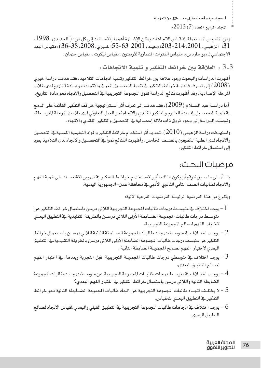المجلد الرابع العدد (7) 2013م

ومن المقاييس المستعملة في فياس الاتجاهات يمكن الإشــارة أهمها بالاســتناد إلى كل من: ( الجديدي، 1998، 31؛ الزغبـي، 2001، 214-203؛ وحيـد، 2001، 53-55؛ خـيري، 2008، 38-36)؛ مقّياس البعد الاجتماعي لـ «بو جاردس». مقياس الفترات المتساوية لثرستون .مقياس ليكرت . مقياس جتمان .

3-3 ؛ العلاقة بين خرائط التفكير و تنمية الاتجاهات :

أظهرت الدراسات والبحوث وجود علاقة بين خرائط التفكير وتنمية اتجاهات التلاميذ، فقد هدفت دراسة خيرى ( 2008) إلى تعـرف فاعليــة خرائط التفكير في تنمية التحصــيل المرفي والاتجاه نحو مــادة التاريخ لدى طلاب المرحلة الإعدادية، وقد أظهرت نتائج الدراسة تفوق الجموعة التجريبية في التحصيل والاتجاه نحو مادة التاريخ.

أما دراســة عبد الســلام (2009) ، فقد هدفت إلى تعرف أثر اســتراتيجية خرائط التفكير القائمة على الدمج يخ تنمية التحصـيل في مادة العلــوم والتفكير النقدي والاتجاه نحو العمل التعاوني لدى تلاميذ المرحلة المتوســطة، وتوصلت الدراسة إلى وجود فروق ذات دلالة إحصائية في التحصيل والتفكير النقدى والاتجاه.

واستهدفت دراسة الزهيمي ( 2010) ، تحديد أثر استخدام خرائط التفكير والمواد التعليمية اللمسية في التحصيل والاتجاه لدى الطلبة المكفوفين بالصــف الخامس، وأظهرت النتائج نمواً \_فـ التحصــيل والاتجاه لدى التلاميذ يعود إلى استعمال خرائط التفكير .

## فرضيات البحث:

بنــاءً على ما ســبق نتوقع أن يكون هناك تأثير لاســتخدام خرائــط التفكير \_فـ تدريس الاقتصــاد على تنمية الفهم والاتجاه لطالبات الصف الثانى الثانوي الأدبى في محافظة عدن–الجمهورية اليمنية.

ويتفرع من هذا الفرضية الرئيسة الفرضيات الفرعية الآتية:

- متوســط درجات طالبات الجموعة الضــابطة الأولى اللاتى درســن بالطريقة التقليدية،ـ⊈ التطبيق البعدى لاختبار الفهم لصالح المجموعة التجريبية.
- 2 يوجـد اختــلاف ــفي متوســط درجات طالبات المجموعة الضــابطة الثانية اللاتي درســن باســتعمال خرائط التفكير عن متوسط درجات طالبات الجموعة الضابطة الأولى اللاتي درسن بالطريقة التقليدية، في التطبيق البعدى لاختبار الفهم لصالح المجموعة الضابطة الثانية .
- لصالح التطبيق البعدي.
- 4 يوجـد اختــلاف في متوســط درجات طالبــات المجموعة التجريبية عن متوســط درجــات طالبات المجموعة الضابطة الثانية واللاتي درسن باستعمال خرائط التفكير في اختبار الفهم البعدي؟
- لا يختلـف اتجــاه طالبات المجموعة التجريبية عن اتجاه طالبات المجموعة الضــابطة الثانية نحو خرائط " -التفكير في التطبيق البعدي للمقياس.
- التطبيق البعدى.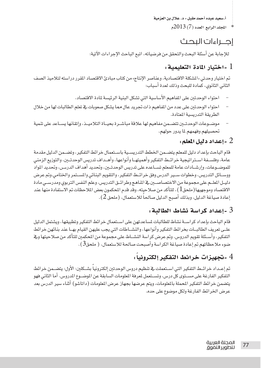$2013(7)$  المجلد الرابع العدد

# احراءات البحث

للإجابة عن أسئلة البحث والتحقق من فرضياته، اتبع الباحث الإجراءات الآتية:

### - اختيار المادة التعليمية  $1\,$

تم اختيار وحدتي «المشكلة الاقتصادية، وعناصر الإنتاج» من كتاب مبادئ الاقتصاد المقرر دراسته لتلاميذ الصف الثانى الثانوي، كمادة للبحث وذلك لعدة أسباب:

- احتواء الوحدتين على المفاهيم الأساسية التي تشكل البنية الرئيسة لمادة الاقتصاد.
- احتواء الوحدتين على عدد من المفاهيم ذات تجريد عال مما يشكل صعوبات في تعلم الطالبات لها من خلال الطريقة التدريسية المتادة.
- موضيوعات الوحدتيين تتضيمن مفاهيم لها علاقة مباشيرة بجبياة التلامييذ، واتقانها بسياعد على تنمية تحصيلهم وفهمهم لما يدور حولهم.

## و اعداد دليل العلم  $2$

قام الباحث بإعداد دليل للمعلم يتضـمن الخطط التدريسـية باسـتعمال خرائط التفكير، وتضـمن الدليل مقدمة عامة، وفلســفة اســتراتيجية خرائــط التفكير وأهميتهــا وأنواعها، وأهــداف تدريس الوحدتــين، والتوزيع الزمني للموضــوعات، وإرشــادات عامة للمعلم تســاعده على تدريس الوحدتــين، وتحديد أهداف الدرســن، وتحديد المواد ووســائل التدريس، وخطوات ســير الدرس وفق خرائــط التفكير، والتقويم البنـائي والمســتمر والختامي.وتم عرض دليـل الملـم على مجموعة من الاختصاصـين في المُناهج وطرائـق التدريس، وعلم النفس التربوي ومدرســى مادة الاقتصاد وموجهيها (ملحق1 )، للتأكد من صلاحيته، وقد قدم المحكمون بعض الملاحظات تم الاستفادة منها عند إعادة صياغة الدليل، وبذلك أصبح الدليل صالحاً للاستعمال، (ملحق 2).

#### . -اعداد كراسة نشاط الطالبة  $3$

قام الباحث بإعداد كراســة نشاط للطالبات لمساعدتهن على اسـتعمال خرائط التفكير وتطبيقها، ويشتمل الدليل علـى تعريف الطالبـات بخرائط التفكير وأنواعها، والنشـاطات التي يجب عليهن القيام بهـا عند بنائهن خرائط التفكير، وأسـئلة تقويم الدروس. وتم عرض كراسة النشـاط على مجموعة من المحكمين للتأكد من صلاحيتها وفي ضوءِ ملاحظاتهم تم إعادة صياغة الكراسة وأصبحت صالحة للاستعمال، ( ملحق3).

## وتجهيزات خرائط التفكير إلكترونيا . - -

تم إعــداد خرائــط التفكير التي اســتعملت فے تنظيم دروس الوحدتين إلكترونيا بشــكلين: الأول: يتضــمن خرائط التفكير الفارغة على مســتوى كل درس، وتســتعمل لمرفة الملومات السابقة عن الموضــوع الدروس. أما الثاني فهو يتضمن خرائط التفكير المحملة بالملومات، ويتم عرضها بجهاز عرض الملومات (داتاشو) أثناء سير الدرس بعد عرض الخرائط الفارغة ولكل موضوع على حده.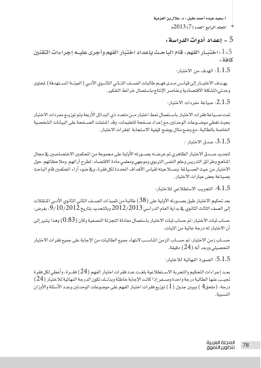$2013(7)$  المجلد الرابع العدد

#### 5 - إعداد أدوات الدراسة :

5- 1 . اختبــار الفهم . قام الباحـث بإعداد اختبار الفهم وأجرى عليــه إجراءات التقنين كافة :

 $:1.1.5$ الهدف من الاختيار :

يهـدف الاختبــار إلى فياسـ مــدي فهــم طالبات الصــف الثــاني الثانــوي الأدبي ( العينــة المسـتهدفة ) لمحتوي وحدتي»المشكلة الاقتصادية وعناصر الإنتاج»باستعمال خرائط التفكير.

 $\cdot$  2.1.5): صباغة مفردات الاختيار:

تمت صـياغة فقرات الاختبار باسـتعمال نمط اختبار مـن متعدد ذى البدائل الأربعة وتم توزيــع مفردات الاختبار بحيث تغطى موضــوعات الوحدتين.مع إعداد صــفحة للتعليمات، وقد اشتملت الصــفحة على البيانات الشخصية الخاصة بالطالبة، مع وضع مثال يوضح كيفية الاستجابة لفقرات الاختبار.

 $:$  3.1.5 $:$  صدق الاختيار  $:$ 

لتحديد صـدق الاختبار الظاهري تم عرضــه بصــورته الأولية على مجموعة من المحكمين الاختصـاصين في مجال الملامج وطرائق التدريس وعلم النفس التربوي وموجهي ومعلمي مادة الافتصاد، لطرح آرائهم وملاحظاتهم حول الاختبار من حيث الصـياغة وصــلاحيته لقياس الأهداف المحددة لكل فقرة، ويـف ضوء آراء المحكمين قام الباحث بصياغة بعض عبارات الاختيار.

التحريب الاستطلاعي للاختبار: $4.1.5$ 

بعد تحكيم الاختبار طبق بصــورته الأولية على ( 38) طالبة من تلميذات الصــف الثاني الثانوي الأدبي المنتقلات إلى الصف الثالث الثانوي فے بداية العام الدراسى 2012/2013 وبالتحديد بتاريخ 9/10/2012، بغرض:

حساب ثبات الاختبار: تم حساب ثبات الاختبار باستعمال معادلة التجزئة النصفية وكان (0.83) وهذا يشير إلى أن الاختبار له درجة عالية من الثبات.

حســاب زمن الاختبار: تم حســاب الزمن المناسـب لانتهاء جميع الطالبات من الإجابة على جميع فقرات الاختبار التحصيلي ووجد أنه (24) دقيقة.

الصورة النهائية للاختيار:  $5.1.5$ 

بعـد إجراءات التحكيم والتجربة الاسـتطلاعية بلغـت عدد فقرات اختبار الفهم (24) فقـرة، وأعطى لكل فقرة تجيـب عنها الطالبة درجة واحدة وصــفر إذا كانت الإجابة خاطئة وبذلــك تكون الدرجة النهائية للاختبار (24) درجة، (ملحق $4$  ) ويبين جدول (  $1$  ) توزيع فقرات اختبار الفهم على موضوعات الوحدتين وعدد الأسئلة والأوزان النسبية.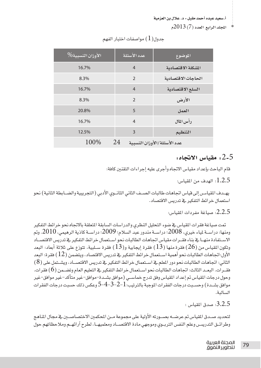$2013(7)$ المجلد الرابع العدد (7)

| الأوزان النسبية% | عدد الأسئلة    | الموضوع                     |
|------------------|----------------|-----------------------------|
| 16.7%            | $\overline{4}$ | المشكلة الاقتصادية          |
| 8.3%             | $\mathfrak{D}$ | الحاجات الاقتصادية          |
| 16.7%            | $\overline{4}$ | السلع الاقتصادية            |
| 8.3%             | $\mathfrak{D}$ | الأرض                       |
| 20.8%            | 5              | العمل                       |
| 16.7%            | $\overline{4}$ | رأس المال                   |
| 12.5%            | 3              | التنظيم                     |
| 100%             | 24             | عدد الأسئلة/الأوزان النسبية |

#### حدول $(1)$  مواصفات اختبار الفهم

#### . مقياس الاتحاه  $2$ -5

قام الباحث بإعداد مقياس الاتحاه وأجرى عليه إجراءات التقنين كافة:

 $1.2.5$ : الهدف من المقياس:

يهــدف المقياسـ إلى فياس اتجاهات طالبات الصــف الثاني الثانــوي الأدبي ( التجريبية والضــابطة الثانية) نحو استعمال خر ائط التفكير فے تدريس الاقتصاد.

 $\ldots$ 2.2.5 صباغة مفردات المقياس:

تمت صياغة فقرات المقياس في ضوءِ التحليل النظري والدراسات السابقة المتعلقة بالاتجاه نحو خرائط التفكير ومنها: دراســة لياء خيري، 2008؛ دراســة مندور عبد السلام؛ 2009؛ دراســة كاذية الرهيمي، 2010. وتم الاستقادة منها فخ بناء فقرات مقياس اتجاهات الطالبات نحو استعمال خرائط التفكير فخ تدريس الافتصاد وتكون القياس من (26) فقرة منها (13) فقرة إيجابية و(13) فقرة سـلبية، تتوزع على ثلاثة أبعاد: البعد الأول:اتحاهات الطالبات نحو أهمية اسـتعمال خرائط التفكير في تدريس الاقتصاد، ويتضمن (12) فقر ة: البعد الثاني: اتجاهات الطالبات نحو دور المعلم في استعمال خر ائط التفكير في تدريس الاقتصــاد، ويشــتمل على ( 8 ) فقــرات. البعــد الثالث: اتجاهـات الطالبـات نحو اســتعمـال خرائط التفكير ـفي التعليم العام وتضــمن (6) فقرات. وحول درجات المقياس تم إعداد المقياس وفق تدرج خماســي (موافق بشــدة–موافق–غير متأكد–غير موافق–غير موافق بشــدة ) وحســبت درجات الفقر ات الموجبة بالترتيب: 1–2–3–4–5 وعكس ذلك حسبت درجات الفقر ات السالية.

 $:$  3.2.5 $:$  صدق المقياس $:$ 

لتحديد صـدق المقياس تم عرضــه بصــورته الأولية على مجموعة مــن المحكمين الاختصـاصــين في مجال المناهج وطرائـق التدريسـن وعلم النفس التربـوي وموجهي مادة الافتصــاد ومعلميهـا، لطرح آرائهـم وملاحظاتهم حول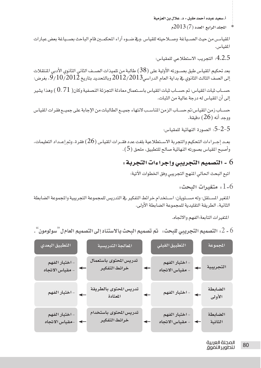$\sim$ المجلد الرابع العدد (7) 2013م

المقياسـ من حيث الصــياغة وصــلاحيته للقياس .وفي ضــوءِ آراء المحكمــين قام الباحث بصــياغة بعض عبارات المقياس.

.4.2.5 التجريب الاستطلاعي للمقياس:

بعد تحكيم المقياس طبق بصــورته الأولية على ( 38) طالبة من تلميذات الصــف الثاني الثانوي الأدبي المنتقلات إلى الصف الثالث الثانوي في بداية العام الدراسي2012/2013 وبالتحديد بتاريخ 9/10/2012، بغرض:

حســاب ثبات المقياس: تم حســاب ثبات المقياس باســتعمال معادلة التجزئة النصفية وكان(  $0.71$  ) وهذا يشير إلى أن المقياس له درجة عالية من الثبات.

حسـاب زمن المقياس:تم حسـاب الزمن الماسـب لانتهاء جميـم الطالبات من الإجابة على جميـع فقرات المقياس ووحد أنه (26) دق*ن*قة.

5–2–5: الصورة النهائية للمقياس:

بعـد إجـراءات التحكيم والتجربة الاسـتطلاعية بلغت عدد فقــرات المقياس (26) فقرة، وتم إعــداد التعليمات، وأصبح المقياس بصورته النهائية صالح للتطبيق، ملحق ( 5 ) .

6 - التصميم التجريبي وإجراءات التجربة :

اتبع البحث الحالي المنهج التجريبي وفق الخطوات الآتية:

. متغيرات البحث  $1$ -6

المتغير المستقل: وله مســتويان: اســتخدام خرائط التفكير في التدريس للمجموعة التجريبية والمجموعة الضابطة الثانية، الطريقة التقليدية للمجموعة الضابطة الأولى.

المتغيرات التابعة:الفهم والاتجاه.

6 - 2: التصميم التجريبي للبحث: تم تصميم البحث بالاستناد إلى التصميم العام ل ؒسولومون ̈ .

| التطبيق البعدي                                   | المعالجة التدريسية <mark>.</mark>       |              | التطبيق القبلي                  |              | المجموعة           |
|--------------------------------------------------|-----------------------------------------|--------------|---------------------------------|--------------|--------------------|
| - اختبار الفهم<br>↞<br>مقياس الاتجاه             | تدريس المحتوى باستعمال<br>خرائط التفكير | ↞            | - اختبار الفهم<br>مقياس الاتجاه | $\leftarrow$ | التجريبية          |
| - اختبار الفهم<br>$\leftarrow$                   | تدريس المحتوى بالطريقة<br>المعتادة      | $\leftarrow$ | - اختبار الفهم                  | $\leftarrow$ | الضابطة<br>الأولى  |
| - اختبار الفهم<br>-مقياس الاتجاه<br>$\leftarrow$ | تدريس المحتوى باستخدام<br>خرائط التفكير | $\leftarrow$ | - اختبار الفهم<br>مقياس الاتجاه | $\leftarrow$ | الضابطة<br>الثانية |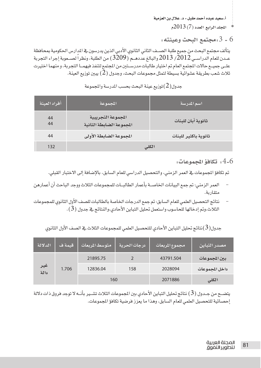$2013(7)$ المجلد الرابع العدد (7)

6 - 3 :مجتمع البحث وعينته :

يتألف مجتمع البحث من جميع طلبة الصــف الثاني الثانوي الأدبي الذين يدرسون في الدارس الحكومية بمحافظة عــدن للعام الدراســي 2012 / 2013 والبالغ عددهــم (3209) من الطلبة، ونظر اً لصــعوبة إجراء التجرية علـى جميـع حالات الجتمع العام تم اختيار طالبات مدرسـتين من المجتمع لتنفذ فيهمـا التجربة، و منهما اختيرت ثلاث شعب بطريقة عشوائية بسيطة لتمثل مجموعات البحث، وجدول (2) يبين توزيع العينة.

| أفراد العينة ا | المجموعة                                       | اسم المدرسة          |
|----------------|------------------------------------------------|----------------------|
| 44<br>44       | المجموعة التجريبية<br>المجموعة الضابطة الثانية | ثانوية أبان للبنات   |
| 44             | المجموعة الضابطة الأولى                        | ثانوية باكثير للبنات |
| 132            |                                                | الكلى                |

جدول $(2)$ توزيع عينة البحث بحسب المدرسة والمجموعة

 $\cdot4$ -6 تكافؤ الحموعات،  $4$ -6  $\cdot$ 

تم تكافؤ الجموعات في العمر الزمني، والتحصيل الدراسي للعام السابق، بالإضافة إلى الاختبار القبلي.

- العمر الزمني: تم جمع البيانات الخاصــة بأعمار الطالبــات للمجموعات الثلاث ووجد الباحث أن أعمارهن متقارية.
- نتائج التحصيل العلمى للعام السابق: تم جمع الدرجات الخاصة بالطالبات للصف الأول الثانوي للمجموعات الثلاث،وتم إدخالها للحاسوب واستعمل تحليل التباين الأحادي،والنتائج في جدول ( 3 ).

|  | جدول( 3)نتائج تحليل التباين الأحادي للتحصيل العلمي للمجموعات الثلاث في الصف الأول الثانوي |  |  |
|--|-------------------------------------------------------------------------------------------|--|--|
|  |                                                                                           |  |  |

| الدلالة      | قيمة ف | متوسط المريعات | در حات الحرية | ِ مجموع المربعات <i>ا</i> | مصدر التباين      |
|--------------|--------|----------------|---------------|---------------------------|-------------------|
|              |        | 21895.75       |               | 43791.504                 | ــــين المحمو عات |
| اغیر<br>دالة | 1.706  | 12836.04       | 158           | 2028094                   | داخل المحموعات    |
|              |        | 160            |               | 2071886                   | الكلي             |

يتضــح من جــدول ( 3 ) نتائج تحليل التباين الأحادي بين المجموعات الثلاث تشــير بأنــه لا توجد فروق ذات دلالة إحصائية للتحصيل العلمي للعام السابق، وهذا ما يعزز فرضية تكافؤ المجموعات.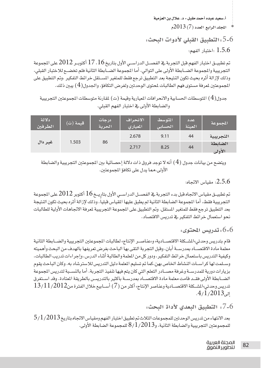$2013(7)$ المجلد الرابع العدد (7)

5-6 : التطبيق القبلي لأدوات البحث: اختيار الفهم:  $1.5.6$ 

تم تطبيـــق اختبار الفهم قبل التجربة في الفصـــل الدراســـى الأول بتاريخ 16 ، 17 أكتوبــر 2012 على الجموعة التجريبية والمجموعة الضــابطة الأولى على التوالى، أما المجموعة الضــابطة الثانية فلم تخضــع للاختبار القبلى، وذلك لإزالة أثره بحيث تكون النتيجة بعد التطبيق ترجع فقط للمتغير المستقل خرائط التفكير ،وتم التطبيق على المجموعتين لمرفة مستوى فهم الطالبات لمحتوى الوحدتين ولغرض التكافؤ، والجدول( 4 ) يبين ذلك.

جدول( 4 ) المتوسطات الحسابية والانحرافات الميارية وقيمة (ت) لمقارنة متوسطات الجموعتين التجريبية والضابطة الأولى في اختبار الفهم القبلي.

| دلالة<br>الطرفين | قيمة (ت) | در جات<br>الحرية | الانحراف<br>المعيارى | المتوسط<br>الحسابى | عدد<br>العينة | الحموعة          |
|------------------|----------|------------------|----------------------|--------------------|---------------|------------------|
|                  |          |                  | 2.678                | 9.11               | 44            | التجريبية        |
| غير دال          | 1.503    | 86               | 2.717                | 8.25               | 44            | الضابطة<br>الأول |

ويتضح من بيانات جدول ( 4 ) أنه لا توجد فروق ذات دلالة إحصائية بين المجموعتين التجريبية والضابطة الأولى،مما يدل على تكافؤ المجموعتين.

#### 2.5.6: مقياس الاتجاه:

تم تطبيـــق مقياس الاتجاه قبل بدء التجربة ــِـة الفصـــل الدراســـى الأول بتاريــخ 16 أكتوبر 2012 على الجموعة التجريبية فقط، أما الجموعة الضابطة الثانية لم يطبق عليها القياس قبليا، وذلك لإزالة أثره بحيث تكون النتيجة بعد التطبيق ترجع فقط للمتغير المستقل. وتم التطبيق على الجموعة التجريبية لمرفة الاتجاهات الأولية للطالبات نحو استعمال خر ائط التفكير في تدريس الاقتصاد.

6-6، تدريس المحتوى:

قام بتدريس وحدتي»المشــكلة الاقتصــادية» و»عناصـر الإنتاج» لطالبات المجموعتين التجريبية والضــابطة الثانية معلمة مادة الافتصـاد بمدرســة أبان، وفبل التجربة التقى بها الباحث بغرض تعريفها بالهدف من البحث وأهميته وكيفية التدريس باستعمال خرائط التفكير، ودور كل من المعلمة والطالبة أشاء الدرس، وإجراءات تدريب الطالبات، وسلمت لها كراسـات النشاط الخاص بهن،كما تم تسليم الملمة دليل التدريس للاسترشاد به. وكان الباحث يقوم بزيارات دورية للمدرســة وغرفة مصــادر التعلم التي كان يتم فيها تنفيذ التجربة. أما بالنســبة لتدريس المجموعة الضــابطة الأولى فقــد قامت معلمة مادة الاقتصــاد بمدرســة باكثير بالتدريسن بالطريقة المتادة. وقد اســتغرق  $13$ تدريس وحدتي»المشـكلة الافتصــادية وعناصر الإنتاج» أكثر من (7) أســابيع خلال الفترة من $11/2012$  $.4/1/2013$ الہ

5-7، التطبيق البعدي لأداة البحث.

بعد الانتهاء من تدريس الوحدتين للمجموعات الثلاث تم تطبيق اختبار الفهم ومقياس الاتجاه بتاريخ 3/1/2013 للمجموعتين التجريبية والضابطة الثانية، و $8$ 701/ $8/1/2$  للمجموعة الضابطة الأولى.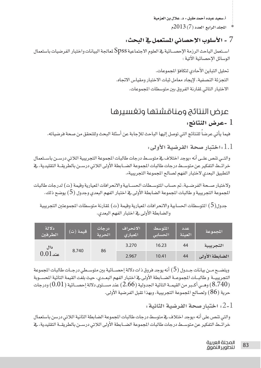$2013(7)$  المجلد الرابع العدد

## 7 - الأسلوب الإحصائي المستعمل في البحث:

استعمل الباحث الرزمة الإحصـائية في العلوم الاجتماعية Spss لمعالجة البيانات واختبار الفرضيات باستعمال الوسائل الإحصائية الآتية :

> تحليل التباين الأحادى لتكافؤ المجموعات. التجزئة النصفية، لإيجاد معامل ثبات الاختبار ومقياس الاتجاه. الاختبار التائي لمقارنة الفروق بين متوسطات الجموعات.

# عرض النتائج ومناقشتها وتغسيرها

## l -عرض النتائج:

فيما يأتي عرضاً للنتائج التي توصل إليها الباحث للإجابة عن أسئلة البحث وللتحقق من صحة فرضياته.

اختيار صحة الفرضية الأولى:  $1.1\,$ 

والتــى تنص علــى أنه «يوجد اختلاف فے متوســط درجات طالبات المجموعة التجريبية اللات*ى* درســن باســتعمال خر ائــَـط التفكير عن متوســط درجات طالبات المجموعة الضــابطة الأولى اللاتي درســن بالطريقــة التقليدية، في التطبيق البعدي لاختبار الفهم لصالح المجموعة التجريبية».

ولاختبار صحة الفرضية، تم حساب المتوسطات الحسابية والانحرافات الميارية وقيمة (ت) لدرجات طالبات الجموعة التجريبية و طالبات الجموعة الضابطة الأولى في اختبار الفهم البعدي وجدول ( 5 ) يوضح ذلك.

جدول( 5 ) التوسطات الحسابية والانحرافات الميارية وقيمة (ت) لقارنة متوسطات الجموعتين التجريبية والضابطة الأولى في اختبار الفهم البعدي.

| دلالة<br>الطرفين | قيمة (ت) | در حات<br>الحرية | الانحراف<br>المعبارى | المتوسط<br>الحسابى | اعدد<br>العينة | المحموعة       |
|------------------|----------|------------------|----------------------|--------------------|----------------|----------------|
| داڻ              | 8.740    |                  | 3.270                | 16.23              | 44             | التجريبية      |
| $0.01\,$ عند     |          | 86               | 2.967                | 10.41              | 44             | الضابطة الأولى |

ويتضــح مــن بيانات جــدول (5) أنه يوجد فروق ذات دلالة إحصــائية بين متوســطي درجــات طالبات المجموعة التجريبيــة و طالبــات المجموعــة الضــابطة الأولى في اختبار الفهم البعــدي، حيث بلغت القيمة التائية الحســوبة وهــى أكــبر من القيمــة التائية الجدولية (2.66) عند مســتوى دلالة إحصــائية (0.01) ودرجات  $(0.01)$ حرية ( 86) ولصالح المعموعة التحريبية، ويهذا تقبل الفرضية الأولى.

. اختيار صحة الفرضية الثانية  $2\text{-}1$ 

والتي تنص على أنه «يوجد اختلاف في متوسط درجات طالبات المجموعة الضابطة الثانية اللاتي درسن باستعمال خرائــط التفكير عن متوســط درجات طالبات المجموعة الضــابطة الأولى اللاتي درســن بالطريقــة التقليدية، فخ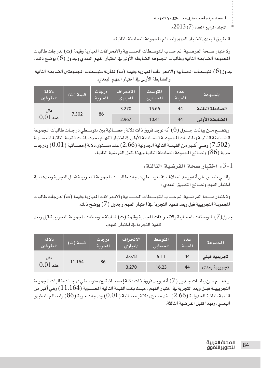$2013(7)$ المجلد الرابع العدد (7)

التطبيق البعدي لاختبار الفهم ولصالح المجموعة الضابطة الثانية».

ولاختبار صـحة الفرضـية، تم حساب المتوسـطات الحســابية والانحرافات الميارية وقيمة (ت) لدرجات طالبات المجموعة الضابطة الثانية وطالبات الجموعة الضابطة الأولى في اختبار الفهم البعدي وجدول (6) يوضح ذلك.

جدول(6)التوسطات الحسابية والانحرافات الميارية وقيمة (ت) لمقارنة متوسطات الجموعتين الضابطة الثانية والضابطة الأولى في اختبار الفهم البعدى.

| دلالة<br>الطرفين    | قيمة (ت) | درجات<br>الحرية | الانحراف<br>المعبارى | المتوسط<br>الحسابى | اعدد<br>العينة | المحموعة        |
|---------------------|----------|-----------------|----------------------|--------------------|----------------|-----------------|
| داڻ<br>$0.01\,$ عند |          |                 | 3.270                | 15.66              | 44             | الضابطة الثانية |
|                     |          | 7.502<br>86     | 2.967                | 10.41              | 44             | الضابطة الأولى  |

ويتضــح مــن بيانات جــدول (6) أنه توجد فروق ذات دلالة إحصــائية بين متوســطي درجــات طالبات المجموعة الضــابطة الثانيــة وطالبــات المجموعــة الضــابطة الأولى في اختبار الفهــم، حيث بلغــت القيمة التائية المحسـوبة وهــي أكــبر من القيمــة التائية الجدولية (2.66) عند مســتوي دلالة إحصــائية ( 0.01) ودرجات  $(7.502)$ حرية (86) ولصالح الجموعة الضابطة الثانية وبهذا تقبل الفرضية الثانية.

3-1. اختيار صحة الفرضية الثالثة:

والتــى تنصــں على أنه»يوجد اختلاف فے متوســطى درجات طالبــات المجموعة التجريبية قبــل التجربة وبعدهـا، في اختبار الفهم ولصالح التطبيق البعدي «

ولاختبار صبحة الفرضية، تم حساب المتوسيطات الحسبابية والانحر افات المبارية وقيمة (ت) لدرجات طالبات المجموعة التجريبية قبل وبعد تنفيذ التجربة في اختبار الفهم وجدول ( 7 ) يوضح ذلك.

جدول(7)التوسطات الحسابية والانحرافات الميارية وقيمة (ت) لمقارنة متوسطات الجموعة التجريبية قبل وبعد تنفيذ التجربة في اختبار الفهم.

| دلالة<br>الطرفين | قيمة (ت) | ردر جات<br>الحرية | الانحراف<br>المعيارى | المتوسط<br>الحسابى | عدد<br>العينة | المحموعة     |
|------------------|----------|-------------------|----------------------|--------------------|---------------|--------------|
| دال              |          |                   | 2.678                | 9.11               | 44            | تجريبية قبلى |
| $0.01\,$ عند     | 11.164   | 86                | 3.270                | 16.23              | 44            | تجريبية بعدى |

ويتضـح مـن بيانـات جـدول (7) أنه يوجد فروق ذات دلالة إحصـائية بين متوسـطى درجـات طالبات المجموعة التجريبيـــة فبــل وبعد التجربة ــِـجْـ اختبـار الفهم ،حيــث بلغت القيمة التائية المحســوبة (11.164) وهي أكبر من القيمة التائية الجدولية (2.66) عند مستوى دلالة إحصائية ( 0.01) ودرجات حرية (86) ولصالح التطبيق البعدي، وبهذا تقبل الفرضية الثالثة.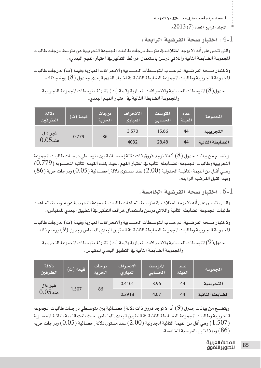اللجلد الرابع العدد (7) 2013م

. اختيار صحة الفرضية الرابعة  $4\text{-}1$ 

والتي تنص على أنه «لا يوجد اختلاف في متوسط درجات طالبات الجموعة التجريبية عن متوسط درجات طالبات المجموعة الضابطة الثانية واللاتي درسن باستعمال خرائط التفكير في اختبار الفهم البعدي».

ولاختبار صـحة الفرضـية، تم حساب المتوسـطات الحسـابية والانحرافات المبارية وفيمة (ت) لدرجات طالبات الجموعة التجريبية وطالبات الجموعة الضابطة الثانية في اختبار الفهم البعدي وجدول ( 8 ) يوضح ذلك.

جدول( 8)المتوسطات الحسابية والانحر افات الميارية وفيمة (ت) لمقارنة متوسطات الجموعة التجريبية والمجموعة الضابطة الثانية في اختبار الفهم البعدي.

| دلالة<br>الطرفين | (ت) قيمة (ت) | در جات<br>الحرية | الانحراف<br>المعيارى | المتوسط<br>الحسابى | اعدد<br>العينة | المحموعة        |
|------------------|--------------|------------------|----------------------|--------------------|----------------|-----------------|
| غير دال          | 0.779        | 86               | 3.570                | 15.66              | 44             | التجريبية       |
| $0.05$ عند       |              |                  | 4032                 | 28.48              | 44             | الضابطة الثانية |

ويتضــح من بيانات جدول ( 8 ) أنه لا توجد فروق ذات دلالة إحصــائية بين متوســطي درجــات طالبات المجموعة التجريبية وطالبات الجموعة الضــابطة الثانية في اختبار الفهم، حيث بلغت القيمة التائية المحســوبة (0.779) وهـي أقـل من القيمة التائيــة الجدولية (2.00) عند مســتوى دلالة إحصــائية (0.05) ودرجات حرية (86) وبهذا تقبل الفرضية الرابعة.

.6-1 اختبار صحة الفرضية الخامسة:

والتـي تنصـر، على أنه «لا يوجد اختلاف في متوسـط اتجاهات طالبات المجموعة التجريبية عن متوسـط اتجاهات طالبات الجموعة الضابطة الثانية واللاتي درسن باستعمال خرائط التفكير في التطبيق البعدي للمقياس».

ولاختبار صحة الفرضية، تم حساب المتوسطات الحسـابية والانحرافات الميارية وقيمة (ت) لدرجات طالبات المجموعة التجريبية وطالبات الجموعة الضابطة الثانية في التطبيق البعدي للمقياس وجدول (9) يوضح ذلك.

جدول(9)المتوسطات الحسابية والانحرافات الميارية وفيمة (ت) لمقارنة متوسطات المجموعة التجريبية والمجموعة الضابطة الثانية في التطبيق البعدي للمقياس.

| دلالة<br>الطرفين        | قيمة (ت) | درجات<br>الحرية | الانحراف<br>المعيارى | المتوسط<br>الحسابى | عدد<br>العينة | المحموعة        |
|-------------------------|----------|-----------------|----------------------|--------------------|---------------|-----------------|
| غير دال<br>$0.05\,$ عند | 1.507    |                 | 0.4101               | 3.96               | 44            | التجريبية       |
|                         |          | 86              | 0.2918               | 4.07               | 44            | الضابطة الثانية |

ويتضــح من بيانات جدول (9) أنه لا توجد فروق ذات دلالة إحصــائية بين متوســطي درجــات طالبات المجموعة التجريبية وطالبات الجموعة الضــابطة الثانية في التطبيق البعدي للمقياس ،حيث بلغت القيمة التائية المحســوبة ر 1.507) وهي أقل من القيمة التائية الجدولية ( 2.00) عند مستوى دلالة إحصائية ( 0.05) ودرجات حرية  $(1.507\,$ (86) وبهذا تقبل الفرضية الخامسة.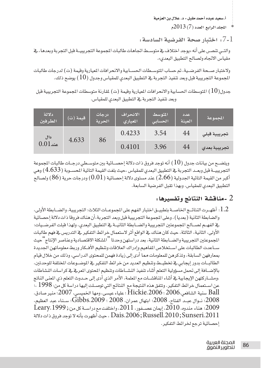المحلد الرابع العدد (7) 2013م

.7-1 اختيار صحة الفرضية السادسة:

والتـي تنصـر، على أنه «يوجد اختلاف في متوسـط اتجاهـات طالبـات الجموعة التجريبيــة قبل التجربة وبعدهـا، في مقياس الاتجاه ولصالح التطبيق البعدي».

ولاختبار صـحة الفرضـية، تم حساب المتوسـطات الحسـابية والانحرافات الميارية وقيمة (ت) لدرجات طالبات الجموعة التجريبية قبل وبعد تنفيذ التجربة في التطبيق البعدي للمقياس وجدول ( 10 ) يوضح ذلك.

جدول $(10)$  التوسطات الحسابية والانحرافات الميارية وقيمة (ت) لمقارنة متوسطات الجموعة التجريبية قبل وبعد تنفيذ التجربة في التطبيق البعدى للمقياس.

| دلالة<br>الطرفين | قيمة (ت) | در حات<br>الحرية | الانحراف<br>المعيارى | المتوسط<br>الحسابى | عدد<br>العينة | المجموعة     |
|------------------|----------|------------------|----------------------|--------------------|---------------|--------------|
| دال              | 4.633    | 86               | 0.4233               | 3.54               | 44            | تجريبية قبلى |
| $0.01\,$ عند     |          |                  | 0.4101               | 3.96               | 44            | تجريبية بعدي |

ويتضــح من بيانات جدول (10 ) أنه توجد فروق ذات دلالة إحصــائية بين متوســطي درجــات طالبات المجموعة التجريبيــة قبل وبعــد التجربة ــِـة التطبيق البعدي للمقياس ،حيث بلغت القيمة التائية المســوبة ( 4.633 ) وهي أكبر من القيمة التائية الجدولية (2.66) عند مستوى دلالة إحصائية (  $(0.01)$  ودرجات حرية ( 86) ولصالح التطبيق البعدي للمقياس، وبهذا تقبل الفرضية السابعة.

## . -مناقشة النتائج وتفسيرها -

. [ . أظهـرت النتائــج الخاصــة بتطبيــق اختبار الفهم على الجموعــات الثلاث: التجريبية، والضــابطة الأولى، والضابطة الثانية (بعديا)، وعلى المجموعة التجريبية قبل وبعد التجربة،أن هناك فروقا ذات دلالة إحصائية يخ الفهـم لصــالح المجموعتين التجريبية والضــابطة الثانيــة يخ التطبيق البعدي، ولهذا قبلت الفرضـيات: الأولى، الثانية، الثالثة، حيث كان هناك في الواقع أثر لاستعمال خرائط التفكير في التدريس في فهم طالبات المجموعتين التجريبية والضــابطة الثانية، بعد دراستهن وحدتا "المشكلة الاقتصادية وعناصر الإنتاج"حيث سـاعدت الطالبات على اسـتخلاص المفاهيم وإدراك العلاقات وتنظيم الأفكار وربط معلوماتهن الجديدة بمعارفهن السابقة، وتذكرهن للمعلومات مما أدى إلى زيادة فهمن للمحتوى الدراسي، وذلك من خلال قيام الطالبــات بدور إيجابي ــِـة تخطيــط وتنظيم العديد من خرائط التفكير ـِـة الموضــوعات المختلفة للوحدتين، بالإضــافة إلى تحمل مسؤولية التعلم أثناء تنفيذ النشــاطات وتنظيم المحتوى المريـفي لكراسات النشاطات ،ومشــاركتهن الإيجابية في أثناء المافشــات مع الملمة، الأمر الذي أدى إلى حــدوث التعلم ذي المغنى الناتج عن استعمال خرائط التفكير. وتتفق هذه النتيجة مع النتائج التي توصـلت إليها دراسة كل من: 1998 ،؛ Ball سنية الشافعي،2006 ؛ Hickie،2006 ؛ علياء عيسى، ومها الخميسى، 2007؛ منير صادق، 2008؛ نــوال عبــد الفتاح، 2008؛ ابتهال عمران، 2008 ؛ Gibbs،2009؛ ســناء عبد العظيم، 2009؛ هناء مندوه، 2010، إيمان عصــفور، 2011، واختلفت مع دراســة كل من: Leary، 1999 ميث أظهرت بأنه لا توجد فروق ذات دلالة . Dais،2006 ; Russell،2010 ; Sunseri،2011 إحصائية ترجع لخرائط التفكير.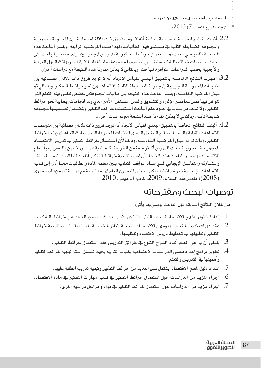- المحلد الرابع العدد (7) 2013م
- 2.2: أشتت النتائج الخاصة بالفرضية الرابعة أنه لا يوجد فروق ذات دلالة احصائية بين المعموعة التجريبية والجموعة الضبابطة الثانية في مستوى فهم الطالبات، ولهذا قبلت الفرضيية الرابعة، ويفسر الباحث هذه النتيجــة بالطبيعــي، حيث تم اســتعمال خرائــط التفكير \_فـ تدريســ المجموعتين، ولم يحصــل البـاحث على بحوث استعملت خرائط التفكير ويتضـمن تصميمها مجموعة ضابطة ثانية لايخ اليمن ولايخ الدول العربية والأجنبية بحسب الدراسات التوافرة للباحث، وبالتالي لا يمكن مقارنة هذه النتيجة مع دراسات أخرى.
- .3. أظهرت النتائج الخاصـــة بالتطبيق البعدي لمقياس الاتجاه أنه لا توجد فروق ذات دلالة إحصـــائية بين طالبــات المجموعــة التجريبية والمجموعة الضــابطة الثانية في اتجاهـاتهن نحو خرائــط التفكير، وبالتالي تم قبول الفرضية الخامسة، ويفسر الباحث هذه النتيجة بأن طالبات المجموعتين خضعن لنفس بيئة التعلم التي تتوافر فيها نفس عناصـر الإثارة والتشــويق والعمل المسـتقل؛ الأمر الذي ولد اتجاهات إيجابية نحو خرائط التفكير. ولا توجد دراسـات في حدود علم الباحث اسـتعملت خرائط التفكير ويتضـمن تصـميمها مجموعة ضابطة ثانية، وبالتالي لا يمكن مقارنة هذه النتيجة مع دراسات أخرى.
- 4.2: أَثبتت النتائج الخاصة بالتطبيق البعدى لمقياس الاتجاه أنه توجد فروق ذات دلالة إحصائية بين متوسطات الاتجاهات القبلية والبعدية لصالح التطبيق البعدي لطالبات الجموعة التجريبية في اتجاهاتهن نحو خرائط التفكير، وبالتالي تم فبول الفرضـية السادســة، وذلك لأن اســتعمال خرائط التفكير \_في تدريس الافتصــاد للمجموعــة التجريبية جعلت الدروس أكــثر متعة من الطريقة الاعتيادية مما عزز ثقتهن بالنفس وحبا لتعلم الافتصـاد، ويفسـر الباحث هذه النتيجة بأن اسـتراتيجية خرائط التفكير أتاحت للطالبات العمل المستقل والمشـاركة والتفاعـل الإيجابي الذي سـاد المواقف التعلمية بـين معلمة المادة والطالبات ممـا أدى إلى تنمية الاتجاهات الإيجابية نحو خرائط التفكير. ويتفق المضمون العام لهذه النتيجة مع دراسة كل من: لمياء خيرى .2008)؛ مندور عبد السلام، 2009؛ كاذية الزهي*مي*، 2010.

# توصيات البحث ومقترحاته

من خلال النتائج السابقة فإن الباحث يوصى بما يأتي:

- 
- 2. عقد دورات تدريبية لمعلمي وموجهي الاقتصــاد بالمرحلة الثانوية خاصــة باسـتعمال اســتراتيجية خرائط التفكير وتطبيقها فج تخطيط دروس الاقتصاد وتنظيمها.
	- 3. ينبغي أن يراعي المعلم أثناء الشرح التنوع في طرائق التدريس عند استعمال خرائط التفكير.
- 4. تطوير برامج إعداد معلمى الدراسـات الاجتماعية بكليات التربية بحيث تشــمل استراتيجية خرائط التفكير وأهميتها يخ التدريس والتعلم.
	- 5. إعداد دليل لملم الاقتصاد يشتمل على المديد من خرائط التفكير وكيفية تدريب الطلبة عليها.
- .<br>6. إجراء المزيد من الدراسات حول استعمال خرائط التفكير ـ2 تنمية مهارات التفكير ـ2 مادة الاقتصاد.
	- 7. إجراء مزيد من الدراسات حول استعمال خرائط التفكير في مواد و مراحل دراسية آخرى.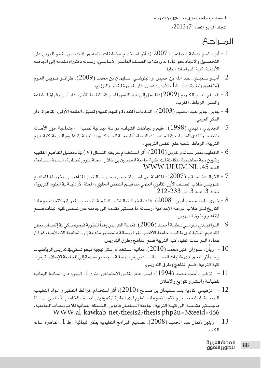أ.سعيد عبده أحمد مقبل - د. علال بن العزمية  $2013(7)$  المجلد الرابع العدد

## المحالك

- أبو الشيخ ،عطية إسماعيل (2007 ): أثر استخدام مخططات المفاهيم في تدريس النحو العربي على أبو القيام العربي على التحصيل والاتجاه نحو المادة لدى طلاب الصيف العاشير الأساسيي. رسيالة دكتوراه مقدمة إلى الجامعة الأردنية، كلية الدراسات العليا.
- أمبــو ســعيدي ،عبد الله بن خميس ،و البلوشــي ،ســليمان بن محمد (2009): طرائــق تدريس العلوم  $2$ (مفاهيم وتطبيقات) . ط1 ، الأردن: عمان، دار المسيرة للنشر والتوزيع.
- ج بلحــاج ،عبــد الكــريم (2009): المدخل إلى علم النفس المــريـة. الطبعة الأولى، دار أبــى رقراق للطباعة  $3\,$ والنشر ، الرياط، المغرب.
- جابر ،جابر عبد الحميد ( 2003) : الذكاءات المتعددة والفهم تنمية وتعميق. الطبعة الأولى، القاهرة: دار  $\,$ الفكر العربي.
- الجديدي ،الهدى (1998): «فيم واتجاهات الشباب» دراسة ميدانية نفسية اجتماعية حول الأصالة ا $5\,$ والماصــرة لدى الشــبـاب في الجـاممــات الليبية. أطروحــة لنيل دكتــوراه الدولة في علــوم التربية،كلية علوم التربية، الرباط، شعبة علم النفس التربوي.
- الخطيب ،عمر ســالم وآخرون (2010) : أثر اســتخدام خريطة الشــكل (V ) \_⊈تحصيل المفاهيم الفقهية فكيب معبر .<br>وتكوين بنية مفاهيمية متكاملة لدى طلبة جامعة الح*ســـن* بن طلال. مجلة علوم إنســانية، ال*ســن*ة الســابعة، **WWW.ULUM.NL** .45
- الخوالــدة ،ســالم (2007): المكاملة بين اســتراتيجيتي نصــوص التغيير المفاهيمــي وخريطة المفاهيم ا لتدريسـ طلاب الصــف الأول الثانوي العلمي مفاهيــم التنفس الخلوي، الجلة الأردنيــة ـفي العلوم التربوية، محلد 3، عدد 3، ص 233–212 .
- التاريخ لدى طلاب المرحلة الإعدادية .رســالة ماجســتير مقدمة إلى جامعة عين شــمس كلية البنات قســم المناهج و طرق التدريس.
- الدواهيــدي ،عزمــي عطيــة أحمــد (2006): فعالية التدريس وفقاً لنظرية فيجوتســكي ـڤٍ إكســاب بعض  $9$ المفاهيم البيئية لدى طالبات جامعة الأقصى بغزة. رسالة ماجستير مقدمة إلى الجامعة الإسلامية، غزة / عمادة الدراسات العليا، كلية التربية قسم المناهج وطرق التدريس.
- وبقاء أثر التعلم لدى طالبات الصـف الســادس بغزة. رسالة ماجستير مقدمة إلى الجامعة الإسلامية بغزة، كلية التربية، قسم المناهج وطرق التدريس.
- الزغبي ،أحمد محمد (1994): أسس علم النفس الاجتماعي .ط / 1 ، اليمن: دار الحكمة اليمانية  $1$  / للطباعة والنشر والتوزيع والإعلان.
- الزهيمي ،كاذية بنت سـليمان بن صــالح (2010): أثر استخدام خرائط التفكير و المواد التعليمية  $12\,$ اللمســية في التحصــيل والاتجاه نحو مادة العلوم لدى الطلبة المكفوفين بالصــف الخامس الأساسى . رسالة ماجسـتير مقدمــة إلى كليــة التربية ، جامعة الســلطان قابوس .الشـبكة العمانية للأطروحـات الجامعية. WWW.al-kawkab-net/thesis2/thesis.php2u=3&eeid=466
- زيتون ،كمال عبد الحميد (2 $(2008)$ : تصميم البرامج التعليمية بفكر البنائية . ط  $1$ ، القاهرة: عالم  $\:3$ الكتب.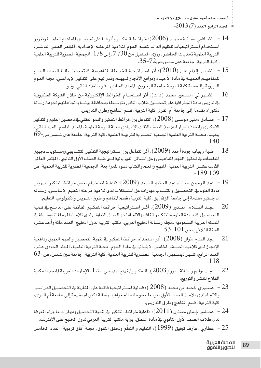$-2013(7)$  المحلد الرابع العدد (7)

- الشــافعي ،ســنيةمحمــد ( 2006): خرائــط التفكــير وأثرهــا على تحصــيل المفاهيم العلميــة وتعزيز  $\:14\:$ استخدام استر اتيجيات تنظيم الذات لتعلـم العلوم لتلاميذ المرحلـة الإعدادية. المؤتمر العلمي العاشـر، التربية العلمية تحديات الحاضر ـ ورؤى المستقبل من 30 / 7 ـ إلى 8 / 1 ، الجمعية المصرية للتربية العلمية . كلية التربية، جامعة عين شمس،ص27-35.
- الشلبي ،إلهام على (2010): أثر استراتيجية الخريطة المفاهيمية في تحصيل طلبة الصف التاسع  $15\,$ للمفاهيــم العلميــة \_في مادة الأحيــاء ودوافع الإنجاز لديهــم وقدراتهم على التفكير الإبداعــي. مجلة العلوم التربوية والنفسية كلية التربية جامعة البحرين، المجلد الحادي عشر، العدد الثاني يونيو.
- الشــهراني ،مســعود محمد (د.ت): أثر اســتخدام الخرائط الإلكترونية من خلال الشبكة العنكبوتية والمسلمود يخ تدريس مادة الجغرافيا على تحصـيل طلاب الثاني متوسـطة بمحافظة بيشـة واتجاهاتهم نحوها .رسالة دكتوراه مقدمة إلى جامعة أم القرى،كلية التربية، قسم المُلمج وطرق التدريس.
- الابتكاري واتخاذ القرار لتلاميذ الصف الثالث الإعدادي مجلة التربية العلمية، المجلد التاسع، العدد الثاني، يونيــو، مجلــة التربية العلمية الجمعية المصــرية للتربيــة العلمية ـ كلية التربية، جامعة عين شــمس ص-69  $140$
- المعلومات في تحقيق الفهم المفاهيمي وحل المسائل الفيزيائية لدى طلبة الصف الأول الثانوي. المؤتمر العالى الثالث عشـر: التربية العملية: المنهج والمعلم والكتاب دعوة للمراجعة، الجمعية المصرية للتربية العلمية، ص  $-189109$
- مادة العلوم في التحصـيل واكتســاب مهارات حل المشــكلات لدى تلاميذ مرحلة التعليم الأساســي. رســالة ماجستير مقدمة إلى جامعة الزقازيق، كلية التربية، فسم الماهج و طرق التدريس و تكنولوجيا التعليم.
- عبـد الســلام ،منــدور (2009): أُشر اســتراتيجية خرائط التفكـير القائمة على الدمــج في تنمية  $\sim 20$ التحصـيل في مــادة العلوم والتفكـير النـافد والاتجاه نحو العمــل التعاوني لدى تلاميذ المرحلة المتوســطة في المملكة العربية الســعودية .مجلة رســالة الخليج العربي، مكتب التربية لدول الخليج، العدد مائة وأحد عشر، السنة الثلاثون، ص 101-53.
- الإنجاز لدى تلاميذ الصــف الخامس الابتدائي في مادة العلوم. مجلة التربية العلمية، المجلد الحادي عشر،  $63$ -العدد الرابع، شــهر ديســمبر، الجمعية المصــرية للتربية العلمية، كلية التربية، جامعة عبن شمس، ص  $.118$
- الفلاح للنشر والتوزيع.
- والاتجاه لدى تلاميذ الصف الأول متوسط نحو مادة الجغرافيا. رسالة دكتوراه مقدمة إلى جامعة أم القرى، كلية التربية، قسم المُناهج وطرق التدريس.
- عصفور ،إيمان حسنين (  $(2011)$ : فاعلية خرائط التفكير في تنمية التحصيل ومهارات ما وراء المرفة  $\,$ لدى طلاب الصف الأول الثانوي في مادة المنطق. بوابة مكتب التربية العربي لدول الخليج على الإنترنت.
-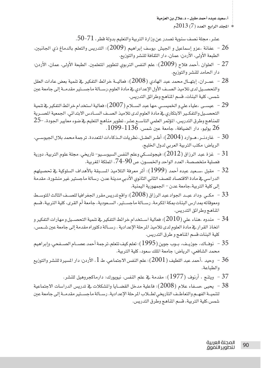$-2013(7)$  المحلد الرابع العدد (7)

عشر، مجلة نصف سنوية تصدر عن وزارة التربية والتعليم بدولة قطر، 71–50.

- الطبعة الأولى، الأردن: عمان، دار الثقافة للنشر والتوزيع.
- العلوان ،أحمد فلاح (2009): علم النفس التربوي لتطوير المتعلمين. الطبعة الأولى، عمان، الأردن:  $-27\,$ دار الحامد للنشر والتوزيع.
- والتحصـيل لدى تلاميذ الصـف الأول الإعدادي في مادة العلوم.رسـالة ماجسـتير مقدمـة إلى جامعة عين شمس، كلية البنات، قسم المناهج وطرائق التدريس.
- التحصـيل والتفكـير الابتكاري في مادة العلوم لدى تلاميذ الصـف الســادس الابتدائي. الجمعية المصــرية للمناهج وطرق التدريس، المؤتمر العلمي التاســع عشر، تطوير مناهج التعليم فے ضوء معايير الجودة، –25 .1099 -1136 بوليو، دار الضيافة، جامعة عين شمس، 1136-1099.
- اردنـر ، هـوارد (2004)؛ أطـر العقـل، نظريات الـذكاءات المتعددة. ترجمة محمد بلال الجيوسـي  $30\,$ الرياض: مكتب التربية العربي لدول الخليج.
- غزة عبد الرزاق ( 2012): فيجوتســكي وعلم النفس السيوســيو– تاريخي. مجلة علوم التربية، دورية  $\,$   $\,31$ فصلية متخصصة، العدد الواحد والخمسون، ص 90–74، الملكة المربية.
- الدراسي في مادة الاقتصاد للصف الثاني الثانوي الأدبي مدينة عدن. رسالة ماجستير غير منشورة، مقدمة إلى كلية التربية،جامعة عدن - الجمهورية اليمنية.
- مكـي ،وداد عبـد الجواد عبد الرزاق ( $2008$ ): واقع تدريس مقرر الجغرافيا للصــف الثالث الموســط  $\sim 33$ ومعوقاته بمدارس البنات بمكة المكرمة. رسـالة ماجسـتير، السـعودية، جامعة أم القرى، كلية التربية، قسم المناهج وطرائق التدريس.
- مندوه ،هناء على (2010): فعالية اســتخدام خرائط التفكير في تنمية التحصــيل و مهارات التفكير و  $\sim 34$ اتخاذ القرار في مادة العلوم لدى تلاميذ المرحلة الإعدادية . رسـالة دكتوراه مقدمة إلى جامعة عين شـمس، كلية البنات قسم المناهج و طرق التدريس.
- محمد الشاهعي، الرياض: جامعة الملك سعود، كلية التربية.
- والطباعة.
	- ويتنج ، أرنوف (1977): مقدمة في علم النفس، نيويورك: دارماكجروهيل للنشر.  $37\,$
- يحيى ،صــفاء علام (2008): فاعلية مدخل القضــايا والمشكلات في تدريس الدراسات الاجتماعية  $38\,$ لتنميــة الفهــم والتعاطـف التاريخي لطــلاب المرحلة الإعدادية. رســالة ماجسـتير مقدمــة إلى جامعة عين شمس،كلية التربية، قسم المناهج وطرق التدريس.